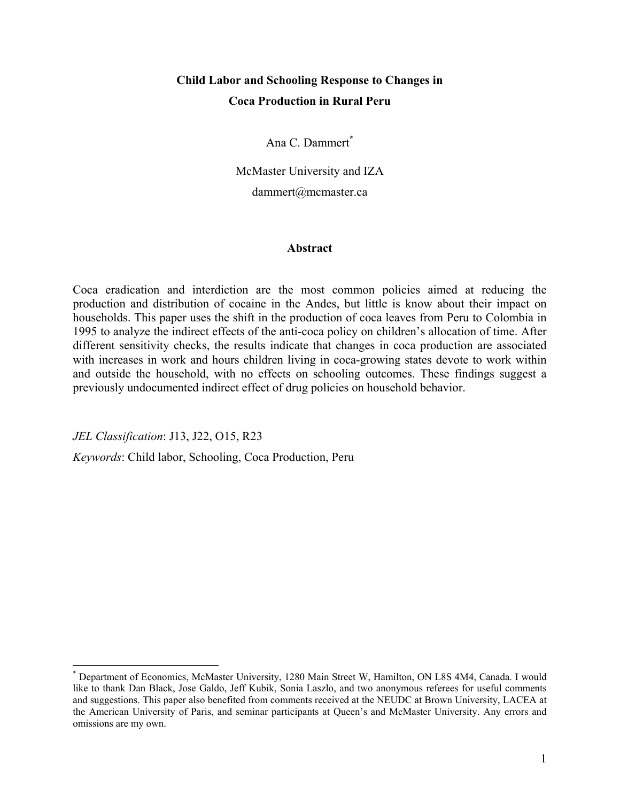# **Child Labor and Schooling Response to Changes in Coca Production in Rural Peru**

Ana C. Dammert<sup>\*</sup>

McMaster University and IZA dammert@mcmaster.ca

### **Abstract**

Coca eradication and interdiction are the most common policies aimed at reducing the production and distribution of cocaine in the Andes, but little is know about their impact on households. This paper uses the shift in the production of coca leaves from Peru to Colombia in 1995 to analyze the indirect effects of the anti-coca policy on children's allocation of time. After different sensitivity checks, the results indicate that changes in coca production are associated with increases in work and hours children living in coca-growing states devote to work within and outside the household, with no effects on schooling outcomes. These findings suggest a previously undocumented indirect effect of drug policies on household behavior.

*JEL Classification*: J13, J22, O15, R23

 $\overline{a}$ 

*Keywords*: Child labor, Schooling, Coca Production, Peru

<sup>\*</sup> Department of Economics, McMaster University, 1280 Main Street W, Hamilton, ON L8S 4M4, Canada. I would like to thank Dan Black, Jose Galdo, Jeff Kubik, Sonia Laszlo, and two anonymous referees for useful comments and suggestions. This paper also benefited from comments received at the NEUDC at Brown University, LACEA at the American University of Paris, and seminar participants at Queen's and McMaster University. Any errors and omissions are my own.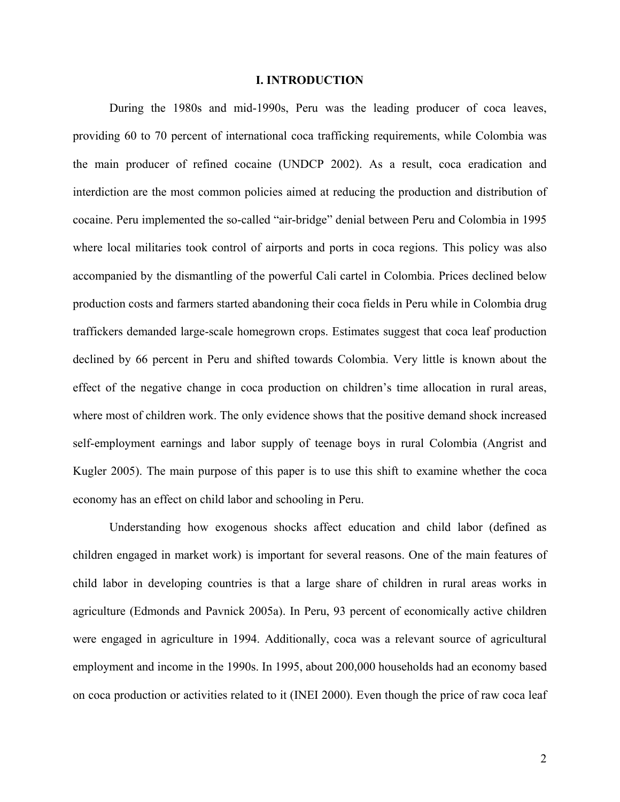#### **I. INTRODUCTION**

 During the 1980s and mid-1990s, Peru was the leading producer of coca leaves, providing 60 to 70 percent of international coca trafficking requirements, while Colombia was the main producer of refined cocaine (UNDCP 2002). As a result, coca eradication and interdiction are the most common policies aimed at reducing the production and distribution of cocaine. Peru implemented the so-called "air-bridge" denial between Peru and Colombia in 1995 where local militaries took control of airports and ports in coca regions. This policy was also accompanied by the dismantling of the powerful Cali cartel in Colombia. Prices declined below production costs and farmers started abandoning their coca fields in Peru while in Colombia drug traffickers demanded large-scale homegrown crops. Estimates suggest that coca leaf production declined by 66 percent in Peru and shifted towards Colombia. Very little is known about the effect of the negative change in coca production on children's time allocation in rural areas, where most of children work. The only evidence shows that the positive demand shock increased self-employment earnings and labor supply of teenage boys in rural Colombia (Angrist and Kugler 2005). The main purpose of this paper is to use this shift to examine whether the coca economy has an effect on child labor and schooling in Peru.

 Understanding how exogenous shocks affect education and child labor (defined as children engaged in market work) is important for several reasons. One of the main features of child labor in developing countries is that a large share of children in rural areas works in agriculture (Edmonds and Pavnick 2005a). In Peru, 93 percent of economically active children were engaged in agriculture in 1994. Additionally, coca was a relevant source of agricultural employment and income in the 1990s. In 1995, about 200,000 households had an economy based on coca production or activities related to it (INEI 2000). Even though the price of raw coca leaf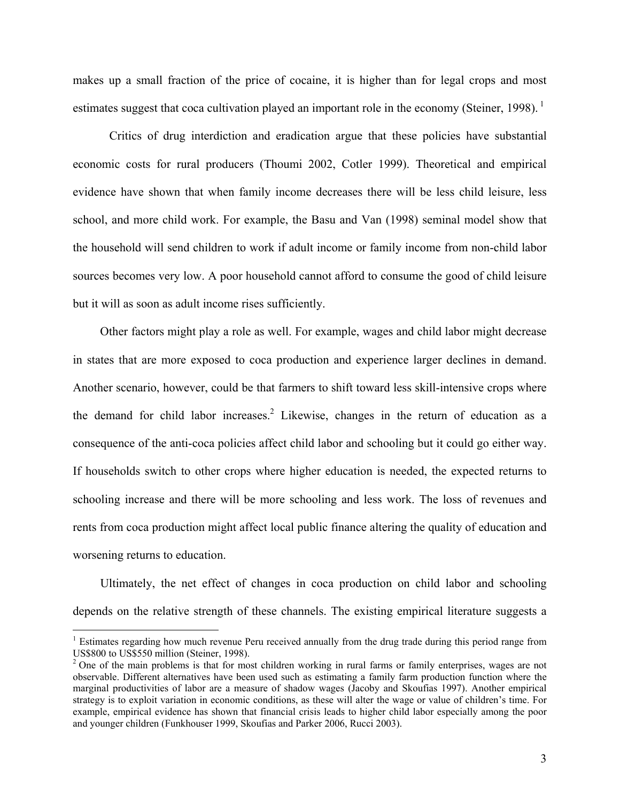makes up a small fraction of the price of cocaine, it is higher than for legal crops and most estimates suggest that coca cultivation played an important role in the economy (Steiner, 1998).<sup>1</sup>

 Critics of drug interdiction and eradication argue that these policies have substantial economic costs for rural producers (Thoumi 2002, Cotler 1999). Theoretical and empirical evidence have shown that when family income decreases there will be less child leisure, less school, and more child work. For example, the Basu and Van (1998) seminal model show that the household will send children to work if adult income or family income from non-child labor sources becomes very low. A poor household cannot afford to consume the good of child leisure but it will as soon as adult income rises sufficiently.

Other factors might play a role as well. For example, wages and child labor might decrease in states that are more exposed to coca production and experience larger declines in demand. Another scenario, however, could be that farmers to shift toward less skill-intensive crops where the demand for child labor increases.<sup>2</sup> Likewise, changes in the return of education as a consequence of the anti-coca policies affect child labor and schooling but it could go either way. If households switch to other crops where higher education is needed, the expected returns to schooling increase and there will be more schooling and less work. The loss of revenues and rents from coca production might affect local public finance altering the quality of education and worsening returns to education.

Ultimately, the net effect of changes in coca production on child labor and schooling depends on the relative strength of these channels. The existing empirical literature suggests a

1

<sup>&</sup>lt;sup>1</sup> Estimates regarding how much revenue Peru received annually from the drug trade during this period range from US\$800 to US\$550 million (Steiner, 1998).

<sup>&</sup>lt;sup>2</sup> One of the main problems is that for most children working in rural farms or family enterprises, wages are not observable. Different alternatives have been used such as estimating a family farm production function where the marginal productivities of labor are a measure of shadow wages (Jacoby and Skoufias 1997). Another empirical strategy is to exploit variation in economic conditions, as these will alter the wage or value of children's time. For example, empirical evidence has shown that financial crisis leads to higher child labor especially among the poor and younger children (Funkhouser 1999, Skoufias and Parker 2006, Rucci 2003).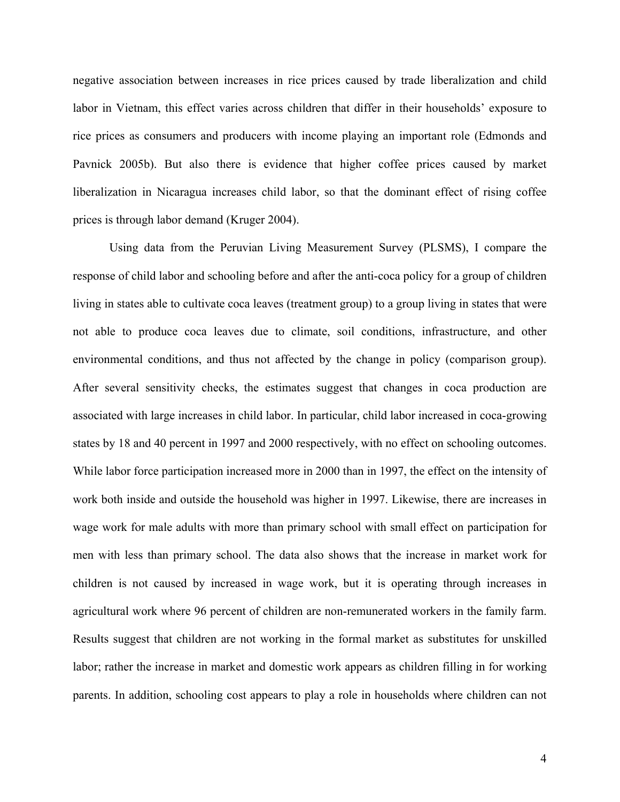negative association between increases in rice prices caused by trade liberalization and child labor in Vietnam, this effect varies across children that differ in their households' exposure to rice prices as consumers and producers with income playing an important role (Edmonds and Pavnick 2005b). But also there is evidence that higher coffee prices caused by market liberalization in Nicaragua increases child labor, so that the dominant effect of rising coffee prices is through labor demand (Kruger 2004).

 Using data from the Peruvian Living Measurement Survey (PLSMS), I compare the response of child labor and schooling before and after the anti-coca policy for a group of children living in states able to cultivate coca leaves (treatment group) to a group living in states that were not able to produce coca leaves due to climate, soil conditions, infrastructure, and other environmental conditions, and thus not affected by the change in policy (comparison group). After several sensitivity checks, the estimates suggest that changes in coca production are associated with large increases in child labor. In particular, child labor increased in coca-growing states by 18 and 40 percent in 1997 and 2000 respectively, with no effect on schooling outcomes. While labor force participation increased more in 2000 than in 1997, the effect on the intensity of work both inside and outside the household was higher in 1997. Likewise, there are increases in wage work for male adults with more than primary school with small effect on participation for men with less than primary school. The data also shows that the increase in market work for children is not caused by increased in wage work, but it is operating through increases in agricultural work where 96 percent of children are non-remunerated workers in the family farm. Results suggest that children are not working in the formal market as substitutes for unskilled labor; rather the increase in market and domestic work appears as children filling in for working parents. In addition, schooling cost appears to play a role in households where children can not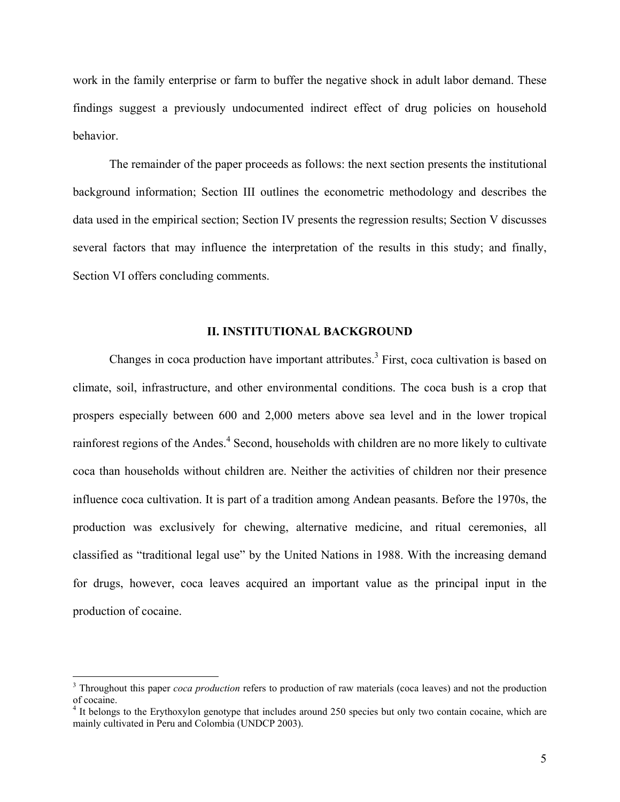work in the family enterprise or farm to buffer the negative shock in adult labor demand. These findings suggest a previously undocumented indirect effect of drug policies on household behavior.

 The remainder of the paper proceeds as follows: the next section presents the institutional background information; Section III outlines the econometric methodology and describes the data used in the empirical section; Section IV presents the regression results; Section V discusses several factors that may influence the interpretation of the results in this study; and finally, Section VI offers concluding comments.

#### **II. INSTITUTIONAL BACKGROUND**

Changes in coca production have important attributes.<sup>3</sup> First, coca cultivation is based on climate, soil, infrastructure, and other environmental conditions. The coca bush is a crop that prospers especially between 600 and 2,000 meters above sea level and in the lower tropical rainforest regions of the Andes.<sup>4</sup> Second, households with children are no more likely to cultivate coca than households without children are. Neither the activities of children nor their presence influence coca cultivation. It is part of a tradition among Andean peasants. Before the 1970s, the production was exclusively for chewing, alternative medicine, and ritual ceremonies, all classified as "traditional legal use" by the United Nations in 1988. With the increasing demand for drugs, however, coca leaves acquired an important value as the principal input in the production of cocaine.

<u>.</u>

<sup>&</sup>lt;sup>3</sup> Throughout this paper *coca production* refers to production of raw materials (coca leaves) and not the production of cocaine.

<sup>&</sup>lt;sup>4</sup> It belongs to the Erythoxylon genotype that includes around 250 species but only two contain cocaine, which are mainly cultivated in Peru and Colombia (UNDCP 2003).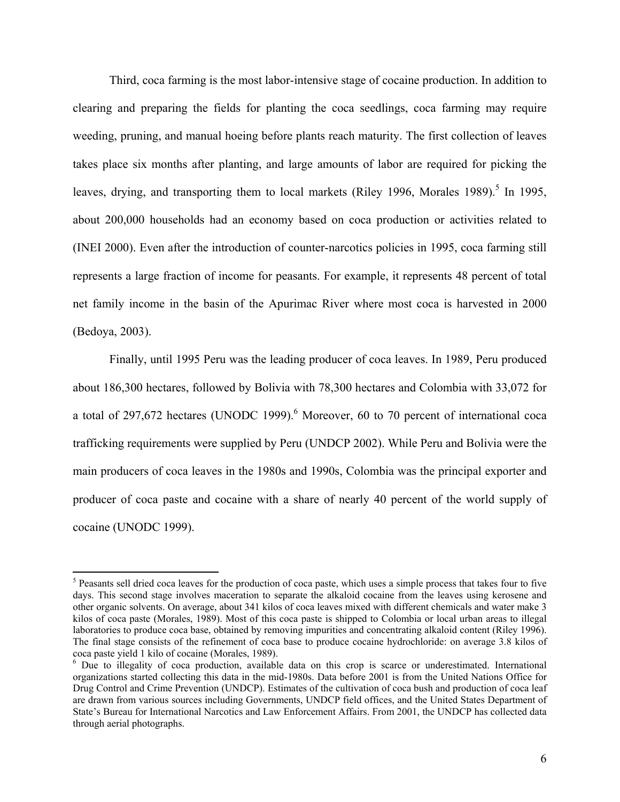Third, coca farming is the most labor-intensive stage of cocaine production. In addition to clearing and preparing the fields for planting the coca seedlings, coca farming may require weeding, pruning, and manual hoeing before plants reach maturity. The first collection of leaves takes place six months after planting, and large amounts of labor are required for picking the leaves, drying, and transporting them to local markets (Riley 1996, Morales 1989).<sup>5</sup> In 1995, about 200,000 households had an economy based on coca production or activities related to (INEI 2000). Even after the introduction of counter-narcotics policies in 1995, coca farming still represents a large fraction of income for peasants. For example, it represents 48 percent of total net family income in the basin of the Apurimac River where most coca is harvested in 2000 (Bedoya, 2003).

 Finally, until 1995 Peru was the leading producer of coca leaves. In 1989, Peru produced about 186,300 hectares, followed by Bolivia with 78,300 hectares and Colombia with 33,072 for a total of 297,672 hectares (UNODC 1999). $<sup>6</sup>$  Moreover, 60 to 70 percent of international coca</sup> trafficking requirements were supplied by Peru (UNDCP 2002). While Peru and Bolivia were the main producers of coca leaves in the 1980s and 1990s, Colombia was the principal exporter and producer of coca paste and cocaine with a share of nearly 40 percent of the world supply of cocaine (UNODC 1999).

<sup>&</sup>lt;sup>5</sup> Peasants sell dried coca leaves for the production of coca paste, which uses a simple process that takes four to five days. This second stage involves maceration to separate the alkaloid cocaine from the leaves using kerosene and other organic solvents. On average, about 341 kilos of coca leaves mixed with different chemicals and water make 3 kilos of coca paste (Morales, 1989). Most of this coca paste is shipped to Colombia or local urban areas to illegal laboratories to produce coca base, obtained by removing impurities and concentrating alkaloid content (Riley 1996). The final stage consists of the refinement of coca base to produce cocaine hydrochloride: on average 3.8 kilos of coca paste yield 1 kilo of cocaine (Morales, 1989).

<sup>&</sup>lt;sup>6</sup> Due to illegality of coca production, available data on this crop is scarce or underestimated. International organizations started collecting this data in the mid-1980s. Data before 2001 is from the United Nations Office for Drug Control and Crime Prevention (UNDCP). Estimates of the cultivation of coca bush and production of coca leaf are drawn from various sources including Governments, UNDCP field offices, and the United States Department of State's Bureau for International Narcotics and Law Enforcement Affairs. From 2001, the UNDCP has collected data through aerial photographs.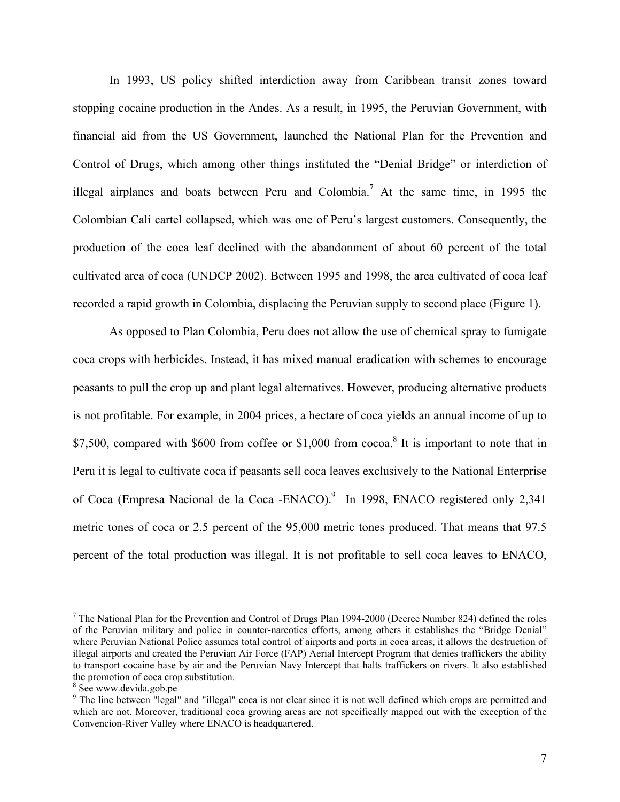In 1993, US policy shifted interdiction away from Caribbean transit zones toward stopping cocaine production in the Andes. As a result, in 1995, the Peruvian Government, with financial aid from the US Government, launched the National Plan for the Prevention and Control of Drugs, which among other things instituted the "Denial Bridge" or interdiction of illegal airplanes and boats between Peru and Colombia.<sup>7</sup> At the same time, in 1995 the Colombian Cali cartel collapsed, which was one of Peru's largest customers. Consequently, the production of the coca leaf declined with the abandonment of about 60 percent of the total cultivated area of coca (UNDCP 2002). Between 1995 and 1998, the area cultivated of coca leaf recorded a rapid growth in Colombia, displacing the Peruvian supply to second place (Figure 1).

 As opposed to Plan Colombia, Peru does not allow the use of chemical spray to fumigate coca crops with herbicides. Instead, it has mixed manual eradication with schemes to encourage peasants to pull the crop up and plant legal alternatives. However, producing alternative products is not profitable. For example, in 2004 prices, a hectare of coca yields an annual income of up to \$7,500, compared with \$600 from coffee or \$1,000 from cocoa.<sup>8</sup> It is important to note that in Peru it is legal to cultivate coca if peasants sell coca leaves exclusively to the National Enterprise of Coca (Empresa Nacional de la Coca -ENACO).<sup>9</sup> In 1998, ENACO registered only 2,341 metric tones of coca or 2.5 percent of the 95,000 metric tones produced. That means that 97.5 percent of the total production was illegal. It is not profitable to sell coca leaves to ENACO,

<sup>&</sup>lt;sup>7</sup> The National Plan for the Prevention and Control of Drugs Plan 1994-2000 (Decree Number 824) defined the roles of the Peruvian military and police in counter-narcotics efforts, among others it establishes the "Bridge Denial" where Peruvian National Police assumes total control of airports and ports in coca areas, it allows the destruction of illegal airports and created the Peruvian Air Force (FAP) Aerial Intercept Program that denies traffickers the ability to transport cocaine base by air and the Peruvian Navy Intercept that halts traffickers on rivers. It also established the promotion of coca crop substitution.

<sup>&</sup>lt;sup>8</sup> See www.devida.gob.pe

<sup>&</sup>lt;sup>9</sup> The line between "legal" and "illegal" coca is not clear since it is not well defined which crops are permitted and which are not. Moreover, traditional coca growing areas are not specifically mapped out with the exception of the Convencion-River Valley where ENACO is headquartered.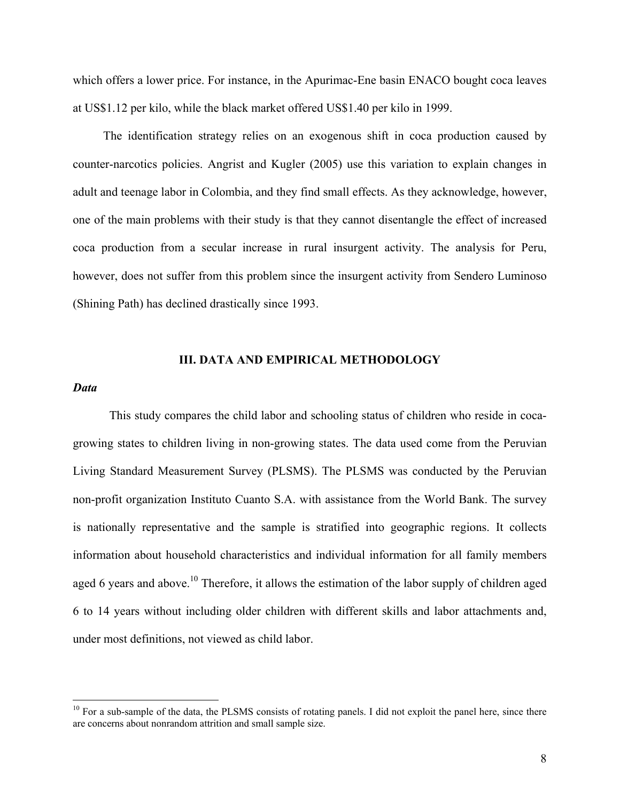which offers a lower price. For instance, in the Apurimac-Ene basin ENACO bought coca leaves at US\$1.12 per kilo, while the black market offered US\$1.40 per kilo in 1999.

 The identification strategy relies on an exogenous shift in coca production caused by counter-narcotics policies. Angrist and Kugler (2005) use this variation to explain changes in adult and teenage labor in Colombia, and they find small effects. As they acknowledge, however, one of the main problems with their study is that they cannot disentangle the effect of increased coca production from a secular increase in rural insurgent activity. The analysis for Peru, however, does not suffer from this problem since the insurgent activity from Sendero Luminoso (Shining Path) has declined drastically since 1993.

#### **III. DATA AND EMPIRICAL METHODOLOGY**

#### *Data*

 $\overline{a}$ 

 This study compares the child labor and schooling status of children who reside in cocagrowing states to children living in non-growing states. The data used come from the Peruvian Living Standard Measurement Survey (PLSMS). The PLSMS was conducted by the Peruvian non-profit organization Instituto Cuanto S.A. with assistance from the World Bank. The survey is nationally representative and the sample is stratified into geographic regions. It collects information about household characteristics and individual information for all family members aged 6 years and above.<sup>10</sup> Therefore, it allows the estimation of the labor supply of children aged 6 to 14 years without including older children with different skills and labor attachments and, under most definitions, not viewed as child labor.

<sup>&</sup>lt;sup>10</sup> For a sub-sample of the data, the PLSMS consists of rotating panels. I did not exploit the panel here, since there are concerns about nonrandom attrition and small sample size.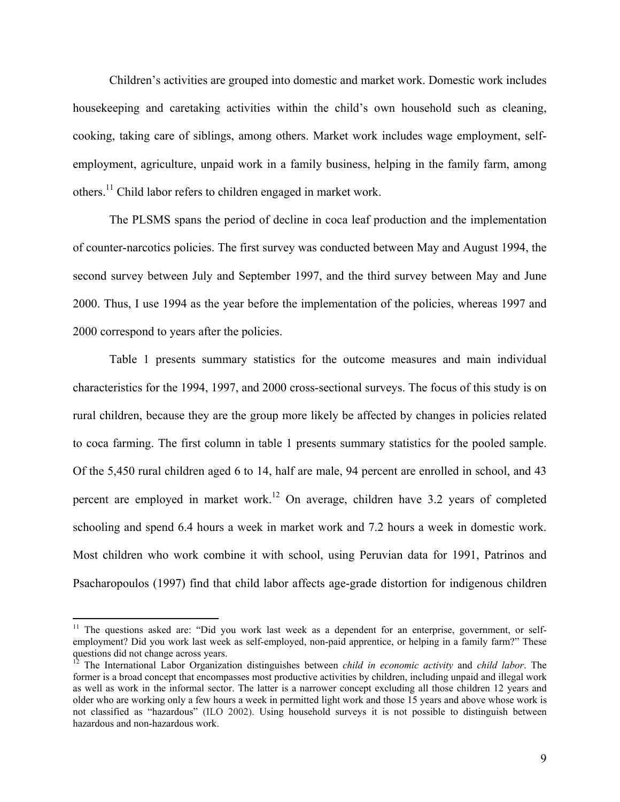Children's activities are grouped into domestic and market work. Domestic work includes housekeeping and caretaking activities within the child's own household such as cleaning, cooking, taking care of siblings, among others. Market work includes wage employment, selfemployment, agriculture, unpaid work in a family business, helping in the family farm, among others.11 Child labor refers to children engaged in market work.

The PLSMS spans the period of decline in coca leaf production and the implementation of counter-narcotics policies. The first survey was conducted between May and August 1994, the second survey between July and September 1997, and the third survey between May and June 2000. Thus, I use 1994 as the year before the implementation of the policies, whereas 1997 and 2000 correspond to years after the policies.

 Table 1 presents summary statistics for the outcome measures and main individual characteristics for the 1994, 1997, and 2000 cross-sectional surveys. The focus of this study is on rural children, because they are the group more likely be affected by changes in policies related to coca farming. The first column in table 1 presents summary statistics for the pooled sample. Of the 5,450 rural children aged 6 to 14, half are male, 94 percent are enrolled in school, and 43 percent are employed in market work.<sup>12</sup> On average, children have 3.2 years of completed schooling and spend 6.4 hours a week in market work and 7.2 hours a week in domestic work. Most children who work combine it with school, using Peruvian data for 1991, Patrinos and Psacharopoulos (1997) find that child labor affects age-grade distortion for indigenous children

1

<sup>&</sup>lt;sup>11</sup> The questions asked are: "Did you work last week as a dependent for an enterprise, government, or selfemployment? Did you work last week as self-employed, non-paid apprentice, or helping in a family farm?" These questions did not change across years.

<sup>12</sup> The International Labor Organization distinguishes between *child in economic activity* and *child labor*. The former is a broad concept that encompasses most productive activities by children, including unpaid and illegal work as well as work in the informal sector. The latter is a narrower concept excluding all those children 12 years and older who are working only a few hours a week in permitted light work and those 15 years and above whose work is not classified as "hazardous" (ILO 2002). Using household surveys it is not possible to distinguish between hazardous and non-hazardous work.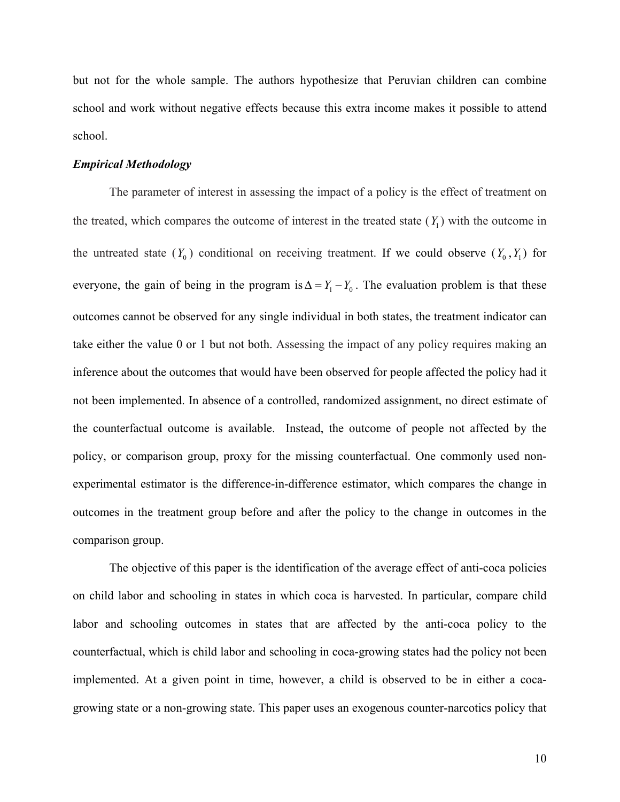but not for the whole sample. The authors hypothesize that Peruvian children can combine school and work without negative effects because this extra income makes it possible to attend school.

#### *Empirical Methodology*

The parameter of interest in assessing the impact of a policy is the effect of treatment on the treated, which compares the outcome of interest in the treated state  $(Y_1)$  with the outcome in the untreated state  $(Y_0)$  conditional on receiving treatment. If we could observe  $(Y_0, Y_1)$  for everyone, the gain of being in the program is  $\Delta = Y_1 - Y_0$ . The evaluation problem is that these outcomes cannot be observed for any single individual in both states, the treatment indicator can take either the value 0 or 1 but not both. Assessing the impact of any policy requires making an inference about the outcomes that would have been observed for people affected the policy had it not been implemented. In absence of a controlled, randomized assignment, no direct estimate of the counterfactual outcome is available. Instead, the outcome of people not affected by the policy, or comparison group, proxy for the missing counterfactual. One commonly used nonexperimental estimator is the difference-in-difference estimator, which compares the change in outcomes in the treatment group before and after the policy to the change in outcomes in the comparison group.

 The objective of this paper is the identification of the average effect of anti-coca policies on child labor and schooling in states in which coca is harvested. In particular, compare child labor and schooling outcomes in states that are affected by the anti-coca policy to the counterfactual, which is child labor and schooling in coca-growing states had the policy not been implemented. At a given point in time, however, a child is observed to be in either a cocagrowing state or a non-growing state. This paper uses an exogenous counter-narcotics policy that

10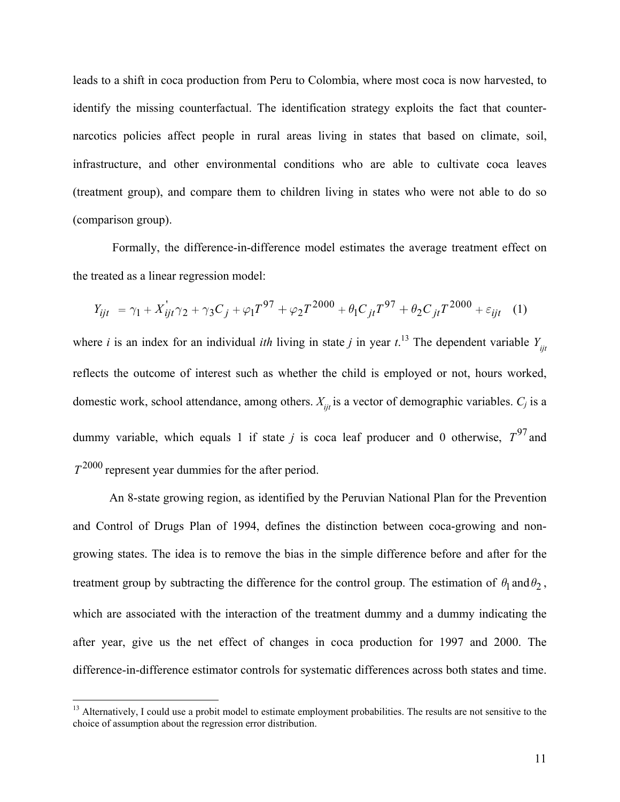leads to a shift in coca production from Peru to Colombia, where most coca is now harvested, to identify the missing counterfactual. The identification strategy exploits the fact that counternarcotics policies affect people in rural areas living in states that based on climate, soil, infrastructure, and other environmental conditions who are able to cultivate coca leaves (treatment group), and compare them to children living in states who were not able to do so (comparison group).

 Formally, the difference-in-difference model estimates the average treatment effect on the treated as a linear regression model:

$$
Y_{ijt} = \gamma_1 + X_{ijt}^{\dagger} \gamma_2 + \gamma_3 C_j + \varphi_1 T^{97} + \varphi_2 T^{2000} + \theta_1 C_{jt} T^{97} + \theta_2 C_{jt} T^{2000} + \varepsilon_{ijt} \quad (1)
$$

where *i* is an index for an individual *ith* living in state *j* in year  $t$ .<sup>13</sup> The dependent variable  $Y_{ijt}$ reflects the outcome of interest such as whether the child is employed or not, hours worked, domestic work, school attendance, among others.  $X_{ijt}$  is a vector of demographic variables.  $C_j$  is a dummy variable, which equals 1 if state *j* is coca leaf producer and 0 otherwise,  $T^{97}$  and  $T^{2000}$  represent year dummies for the after period.

An 8-state growing region, as identified by the Peruvian National Plan for the Prevention and Control of Drugs Plan of 1994, defines the distinction between coca-growing and nongrowing states. The idea is to remove the bias in the simple difference before and after for the treatment group by subtracting the difference for the control group. The estimation of  $\theta_1$  and  $\theta_2$ , which are associated with the interaction of the treatment dummy and a dummy indicating the after year, give us the net effect of changes in coca production for 1997 and 2000. The difference-in-difference estimator controls for systematic differences across both states and time.

<sup>&</sup>lt;sup>13</sup> Alternatively, I could use a probit model to estimate employment probabilities. The results are not sensitive to the choice of assumption about the regression error distribution.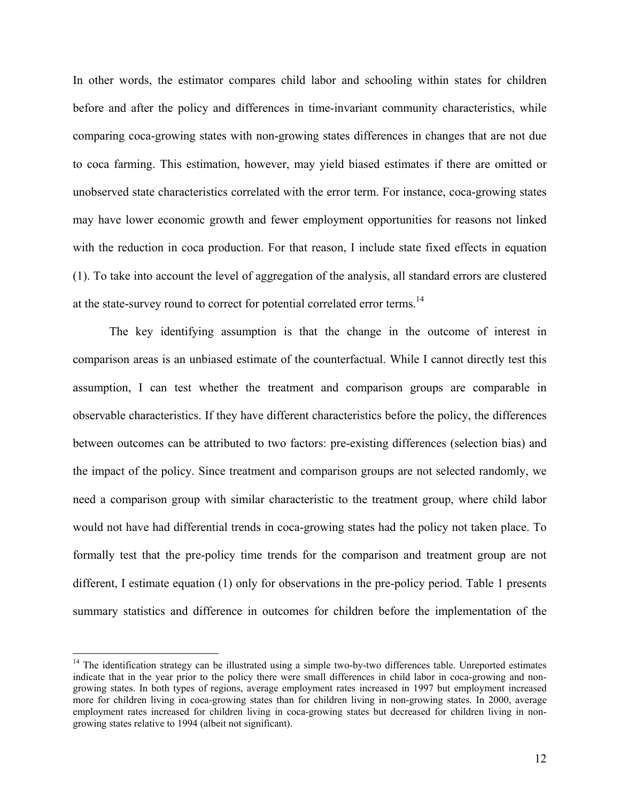In other words, the estimator compares child labor and schooling within states for children before and after the policy and differences in time-invariant community characteristics, while comparing coca-growing states with non-growing states differences in changes that are not due to coca farming. This estimation, however, may yield biased estimates if there are omitted or unobserved state characteristics correlated with the error term. For instance, coca-growing states may have lower economic growth and fewer employment opportunities for reasons not linked with the reduction in coca production. For that reason, I include state fixed effects in equation (1). To take into account the level of aggregation of the analysis, all standard errors are clustered at the state-survey round to correct for potential correlated error terms.<sup>14</sup>

The key identifying assumption is that the change in the outcome of interest in comparison areas is an unbiased estimate of the counterfactual. While I cannot directly test this assumption, I can test whether the treatment and comparison groups are comparable in observable characteristics. If they have different characteristics before the policy, the differences between outcomes can be attributed to two factors: pre-existing differences (selection bias) and the impact of the policy. Since treatment and comparison groups are not selected randomly, we need a comparison group with similar characteristic to the treatment group, where child labor would not have had differential trends in coca-growing states had the policy not taken place. To formally test that the pre-policy time trends for the comparison and treatment group are not different, I estimate equation (1) only for observations in the pre-policy period. Table 1 presents summary statistics and difference in outcomes for children before the implementation of the

 $14$  The identification strategy can be illustrated using a simple two-by-two differences table. Unreported estimates indicate that in the year prior to the policy there were small differences in child labor in coca-growing and nongrowing states. In both types of regions, average employment rates increased in 1997 but employment increased more for children living in coca-growing states than for children living in non-growing states. In 2000, average employment rates increased for children living in coca-growing states but decreased for children living in nongrowing states relative to 1994 (albeit not significant).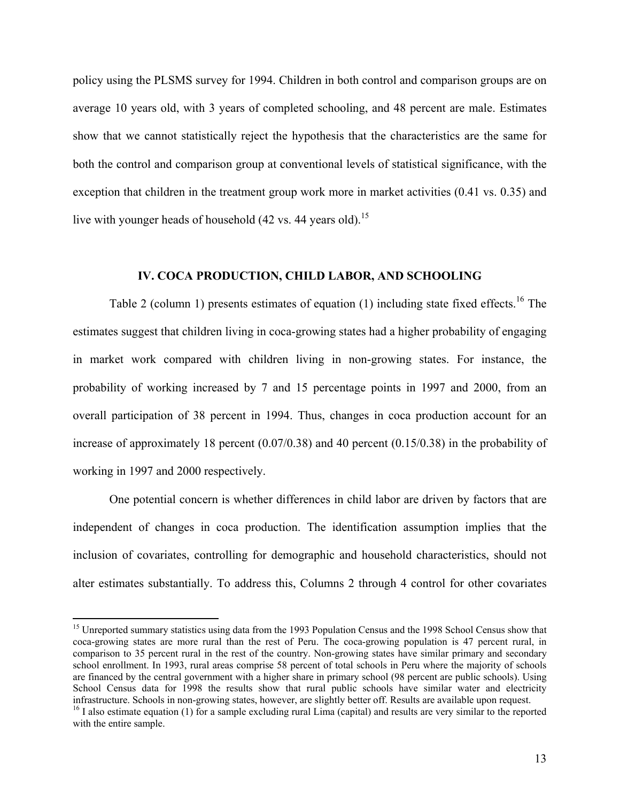policy using the PLSMS survey for 1994. Children in both control and comparison groups are on average 10 years old, with 3 years of completed schooling, and 48 percent are male. Estimates show that we cannot statistically reject the hypothesis that the characteristics are the same for both the control and comparison group at conventional levels of statistical significance, with the exception that children in the treatment group work more in market activities (0.41 vs. 0.35) and live with younger heads of household  $(42 \text{ vs. } 44 \text{ years old})$ .<sup>15</sup>

### **IV. COCA PRODUCTION, CHILD LABOR, AND SCHOOLING**

Table 2 (column 1) presents estimates of equation  $(1)$  including state fixed effects.<sup>16</sup> The estimates suggest that children living in coca-growing states had a higher probability of engaging in market work compared with children living in non-growing states. For instance, the probability of working increased by 7 and 15 percentage points in 1997 and 2000, from an overall participation of 38 percent in 1994. Thus, changes in coca production account for an increase of approximately 18 percent (0.07/0.38) and 40 percent (0.15/0.38) in the probability of working in 1997 and 2000 respectively.

 One potential concern is whether differences in child labor are driven by factors that are independent of changes in coca production. The identification assumption implies that the inclusion of covariates, controlling for demographic and household characteristics, should not alter estimates substantially. To address this, Columns 2 through 4 control for other covariates

<sup>&</sup>lt;sup>15</sup> Unreported summary statistics using data from the 1993 Population Census and the 1998 School Census show that coca-growing states are more rural than the rest of Peru. The coca-growing population is 47 percent rural, in comparison to 35 percent rural in the rest of the country. Non-growing states have similar primary and secondary school enrollment. In 1993, rural areas comprise 58 percent of total schools in Peru where the majority of schools are financed by the central government with a higher share in primary school (98 percent are public schools). Using School Census data for 1998 the results show that rural public schools have similar water and electricity infrastructure. Schools in non-growing states, however, are slightly better off. Results are available upon request.

 $16$  I also estimate equation (1) for a sample excluding rural Lima (capital) and results are very similar to the reported with the entire sample.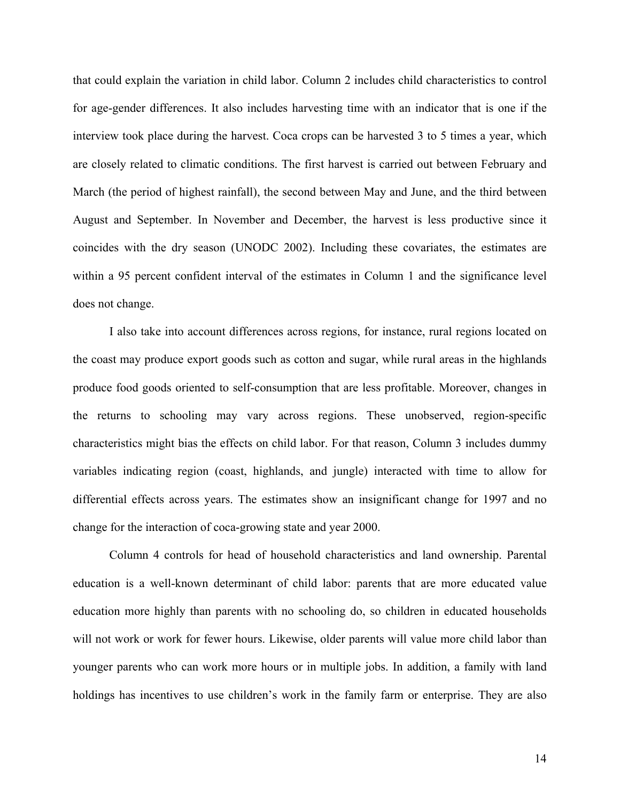that could explain the variation in child labor. Column 2 includes child characteristics to control for age-gender differences. It also includes harvesting time with an indicator that is one if the interview took place during the harvest. Coca crops can be harvested 3 to 5 times a year, which are closely related to climatic conditions. The first harvest is carried out between February and March (the period of highest rainfall), the second between May and June, and the third between August and September. In November and December, the harvest is less productive since it coincides with the dry season (UNODC 2002). Including these covariates, the estimates are within a 95 percent confident interval of the estimates in Column 1 and the significance level does not change.

 I also take into account differences across regions, for instance, rural regions located on the coast may produce export goods such as cotton and sugar, while rural areas in the highlands produce food goods oriented to self-consumption that are less profitable. Moreover, changes in the returns to schooling may vary across regions. These unobserved, region-specific characteristics might bias the effects on child labor. For that reason, Column 3 includes dummy variables indicating region (coast, highlands, and jungle) interacted with time to allow for differential effects across years. The estimates show an insignificant change for 1997 and no change for the interaction of coca-growing state and year 2000.

Column 4 controls for head of household characteristics and land ownership. Parental education is a well-known determinant of child labor: parents that are more educated value education more highly than parents with no schooling do, so children in educated households will not work or work for fewer hours. Likewise, older parents will value more child labor than younger parents who can work more hours or in multiple jobs. In addition, a family with land holdings has incentives to use children's work in the family farm or enterprise. They are also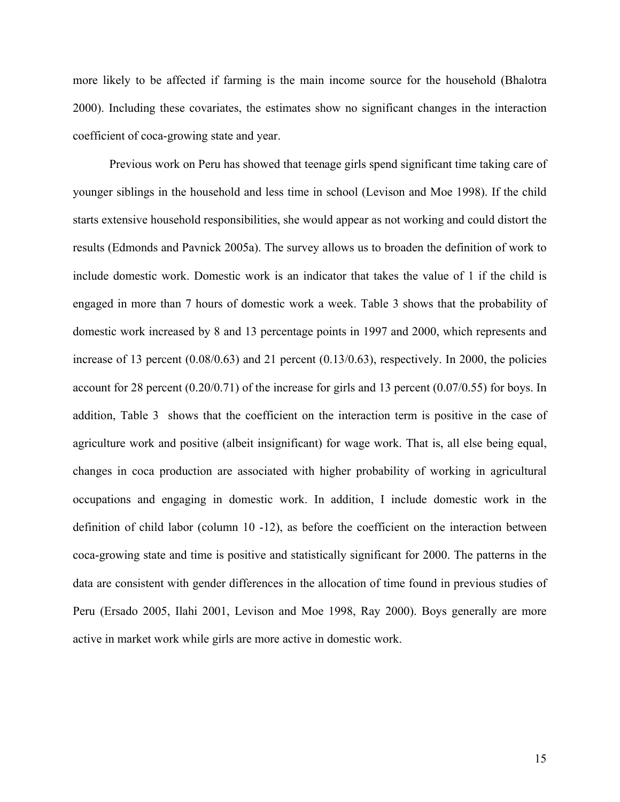more likely to be affected if farming is the main income source for the household (Bhalotra 2000). Including these covariates, the estimates show no significant changes in the interaction coefficient of coca-growing state and year.

Previous work on Peru has showed that teenage girls spend significant time taking care of younger siblings in the household and less time in school (Levison and Moe 1998). If the child starts extensive household responsibilities, she would appear as not working and could distort the results (Edmonds and Pavnick 2005a). The survey allows us to broaden the definition of work to include domestic work. Domestic work is an indicator that takes the value of 1 if the child is engaged in more than 7 hours of domestic work a week. Table 3 shows that the probability of domestic work increased by 8 and 13 percentage points in 1997 and 2000, which represents and increase of 13 percent  $(0.08/0.63)$  and 21 percent  $(0.13/0.63)$ , respectively. In 2000, the policies account for 28 percent (0.20/0.71) of the increase for girls and 13 percent (0.07/0.55) for boys. In addition, Table 3 shows that the coefficient on the interaction term is positive in the case of agriculture work and positive (albeit insignificant) for wage work. That is, all else being equal, changes in coca production are associated with higher probability of working in agricultural occupations and engaging in domestic work. In addition, I include domestic work in the definition of child labor (column 10 -12), as before the coefficient on the interaction between coca-growing state and time is positive and statistically significant for 2000. The patterns in the data are consistent with gender differences in the allocation of time found in previous studies of Peru (Ersado 2005, Ilahi 2001, Levison and Moe 1998, Ray 2000). Boys generally are more active in market work while girls are more active in domestic work.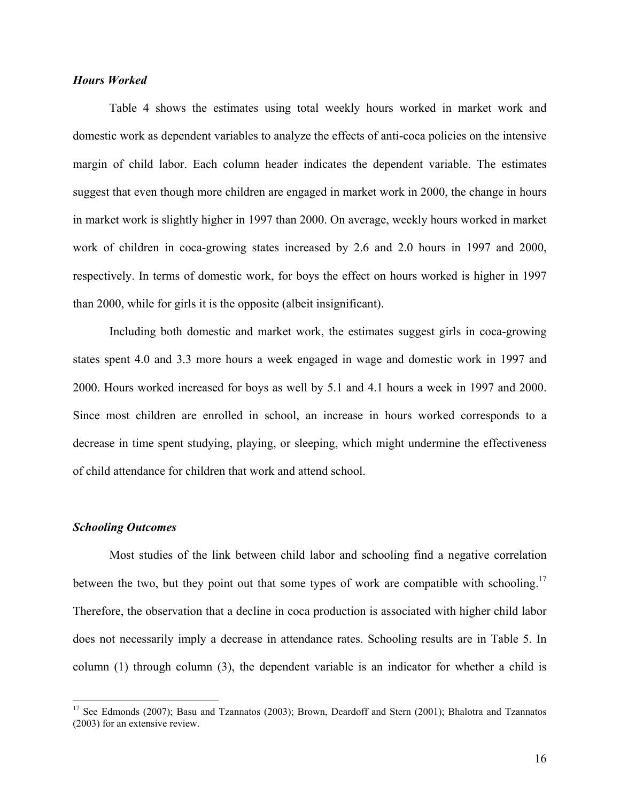#### *Hours Worked*

 Table 4 shows the estimates using total weekly hours worked in market work and domestic work as dependent variables to analyze the effects of anti-coca policies on the intensive margin of child labor. Each column header indicates the dependent variable. The estimates suggest that even though more children are engaged in market work in 2000, the change in hours in market work is slightly higher in 1997 than 2000. On average, weekly hours worked in market work of children in coca-growing states increased by 2.6 and 2.0 hours in 1997 and 2000, respectively. In terms of domestic work, for boys the effect on hours worked is higher in 1997 than 2000, while for girls it is the opposite (albeit insignificant).

Including both domestic and market work, the estimates suggest girls in coca-growing states spent 4.0 and 3.3 more hours a week engaged in wage and domestic work in 1997 and 2000. Hours worked increased for boys as well by 5.1 and 4.1 hours a week in 1997 and 2000. Since most children are enrolled in school, an increase in hours worked corresponds to a decrease in time spent studying, playing, or sleeping, which might undermine the effectiveness of child attendance for children that work and attend school.

#### *Schooling Outcomes*

1

Most studies of the link between child labor and schooling find a negative correlation between the two, but they point out that some types of work are compatible with schooling.<sup>17</sup> Therefore, the observation that a decline in coca production is associated with higher child labor does not necessarily imply a decrease in attendance rates. Schooling results are in Table 5. In column (1) through column (3), the dependent variable is an indicator for whether a child is

<sup>&</sup>lt;sup>17</sup> See Edmonds (2007); Basu and Tzannatos (2003); Brown, Deardoff and Stern (2001); Bhalotra and Tzannatos (2003) for an extensive review.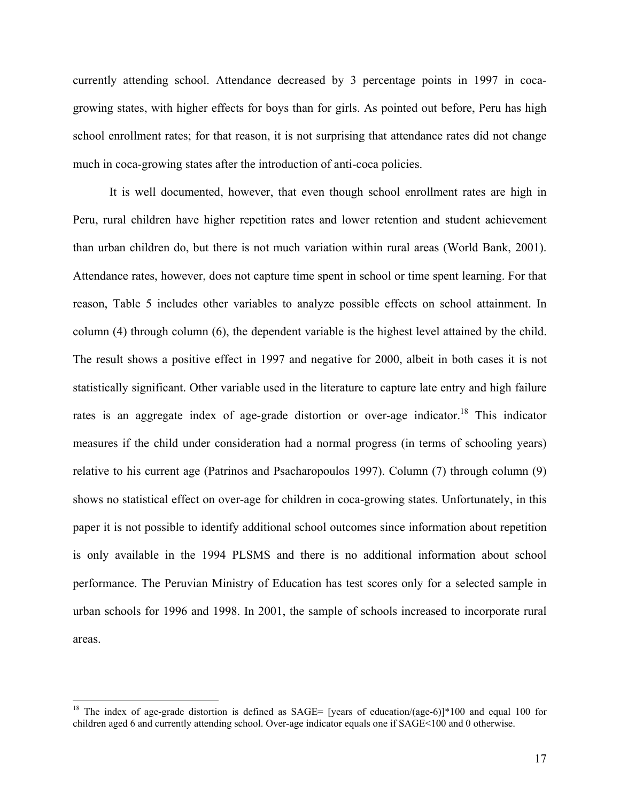currently attending school. Attendance decreased by 3 percentage points in 1997 in cocagrowing states, with higher effects for boys than for girls. As pointed out before, Peru has high school enrollment rates; for that reason, it is not surprising that attendance rates did not change much in coca-growing states after the introduction of anti-coca policies.

It is well documented, however, that even though school enrollment rates are high in Peru, rural children have higher repetition rates and lower retention and student achievement than urban children do, but there is not much variation within rural areas (World Bank, 2001). Attendance rates, however, does not capture time spent in school or time spent learning. For that reason, Table 5 includes other variables to analyze possible effects on school attainment. In column (4) through column (6), the dependent variable is the highest level attained by the child. The result shows a positive effect in 1997 and negative for 2000, albeit in both cases it is not statistically significant. Other variable used in the literature to capture late entry and high failure rates is an aggregate index of age-grade distortion or over-age indicator.<sup>18</sup> This indicator measures if the child under consideration had a normal progress (in terms of schooling years) relative to his current age (Patrinos and Psacharopoulos 1997). Column (7) through column (9) shows no statistical effect on over-age for children in coca-growing states. Unfortunately, in this paper it is not possible to identify additional school outcomes since information about repetition is only available in the 1994 PLSMS and there is no additional information about school performance. The Peruvian Ministry of Education has test scores only for a selected sample in urban schools for 1996 and 1998. In 2001, the sample of schools increased to incorporate rural areas.

<sup>&</sup>lt;sup>18</sup> The index of age-grade distortion is defined as SAGE= [years of education/(age-6)]\*100 and equal 100 for children aged 6 and currently attending school. Over-age indicator equals one if SAGE<100 and 0 otherwise.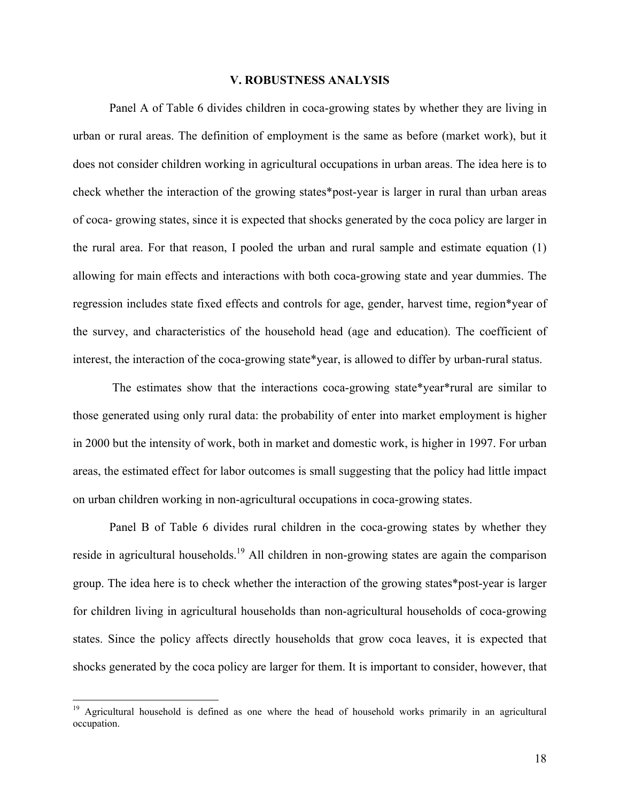#### **V. ROBUSTNESS ANALYSIS**

Panel A of Table 6 divides children in coca-growing states by whether they are living in urban or rural areas. The definition of employment is the same as before (market work), but it does not consider children working in agricultural occupations in urban areas. The idea here is to check whether the interaction of the growing states\*post-year is larger in rural than urban areas of coca- growing states, since it is expected that shocks generated by the coca policy are larger in the rural area. For that reason, I pooled the urban and rural sample and estimate equation (1) allowing for main effects and interactions with both coca-growing state and year dummies. The regression includes state fixed effects and controls for age, gender, harvest time, region\*year of the survey, and characteristics of the household head (age and education). The coefficient of interest, the interaction of the coca-growing state\*year, is allowed to differ by urban-rural status.

 The estimates show that the interactions coca-growing state\*year\*rural are similar to those generated using only rural data: the probability of enter into market employment is higher in 2000 but the intensity of work, both in market and domestic work, is higher in 1997. For urban areas, the estimated effect for labor outcomes is small suggesting that the policy had little impact on urban children working in non-agricultural occupations in coca-growing states.

 Panel B of Table 6 divides rural children in the coca-growing states by whether they reside in agricultural households.<sup>19</sup> All children in non-growing states are again the comparison group. The idea here is to check whether the interaction of the growing states\*post-year is larger for children living in agricultural households than non-agricultural households of coca-growing states. Since the policy affects directly households that grow coca leaves, it is expected that shocks generated by the coca policy are larger for them. It is important to consider, however, that

<sup>19</sup> Agricultural household is defined as one where the head of household works primarily in an agricultural occupation.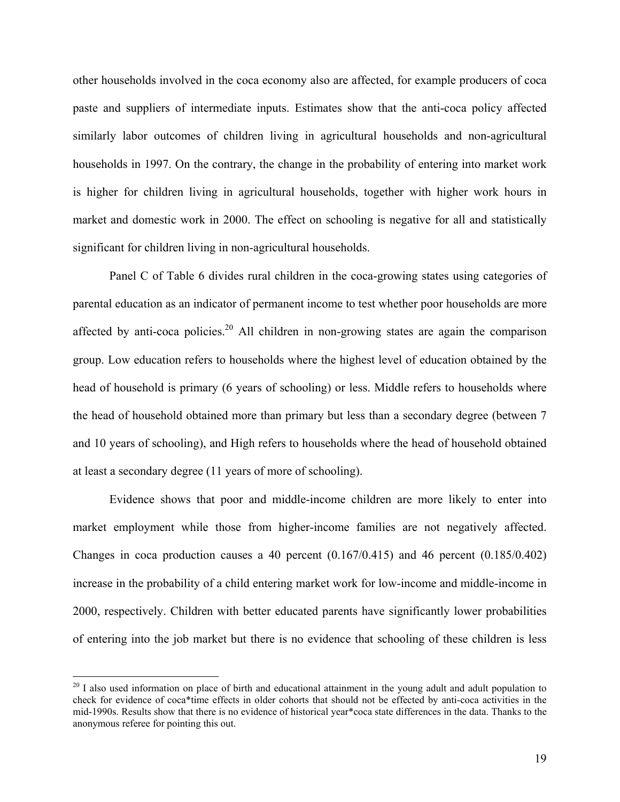other households involved in the coca economy also are affected, for example producers of coca paste and suppliers of intermediate inputs. Estimates show that the anti-coca policy affected similarly labor outcomes of children living in agricultural households and non-agricultural households in 1997. On the contrary, the change in the probability of entering into market work is higher for children living in agricultural households, together with higher work hours in market and domestic work in 2000. The effect on schooling is negative for all and statistically significant for children living in non-agricultural households.

Panel C of Table 6 divides rural children in the coca-growing states using categories of parental education as an indicator of permanent income to test whether poor households are more affected by anti-coca policies.<sup>20</sup> All children in non-growing states are again the comparison group. Low education refers to households where the highest level of education obtained by the head of household is primary (6 years of schooling) or less. Middle refers to households where the head of household obtained more than primary but less than a secondary degree (between 7 and 10 years of schooling), and High refers to households where the head of household obtained at least a secondary degree (11 years of more of schooling).

Evidence shows that poor and middle-income children are more likely to enter into market employment while those from higher-income families are not negatively affected. Changes in coca production causes a 40 percent (0.167/0.415) and 46 percent (0.185/0.402) increase in the probability of a child entering market work for low-income and middle-income in 2000, respectively. Children with better educated parents have significantly lower probabilities of entering into the job market but there is no evidence that schooling of these children is less

 $^{20}$  I also used information on place of birth and educational attainment in the young adult and adult population to check for evidence of coca\*time effects in older cohorts that should not be effected by anti-coca activities in the mid-1990s. Results show that there is no evidence of historical year\*coca state differences in the data. Thanks to the anonymous referee for pointing this out.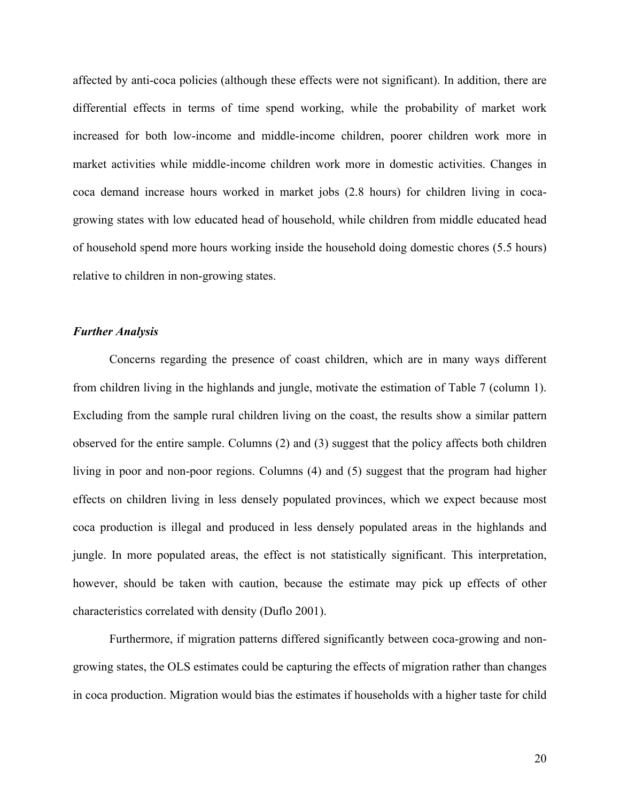affected by anti-coca policies (although these effects were not significant). In addition, there are differential effects in terms of time spend working, while the probability of market work increased for both low-income and middle-income children, poorer children work more in market activities while middle-income children work more in domestic activities. Changes in coca demand increase hours worked in market jobs (2.8 hours) for children living in cocagrowing states with low educated head of household, while children from middle educated head of household spend more hours working inside the household doing domestic chores (5.5 hours) relative to children in non-growing states.

#### *Further Analysis*

 Concerns regarding the presence of coast children, which are in many ways different from children living in the highlands and jungle, motivate the estimation of Table 7 (column 1). Excluding from the sample rural children living on the coast, the results show a similar pattern observed for the entire sample. Columns (2) and (3) suggest that the policy affects both children living in poor and non-poor regions. Columns (4) and (5) suggest that the program had higher effects on children living in less densely populated provinces, which we expect because most coca production is illegal and produced in less densely populated areas in the highlands and jungle. In more populated areas, the effect is not statistically significant. This interpretation, however, should be taken with caution, because the estimate may pick up effects of other characteristics correlated with density (Duflo 2001).

 Furthermore, if migration patterns differed significantly between coca-growing and nongrowing states, the OLS estimates could be capturing the effects of migration rather than changes in coca production. Migration would bias the estimates if households with a higher taste for child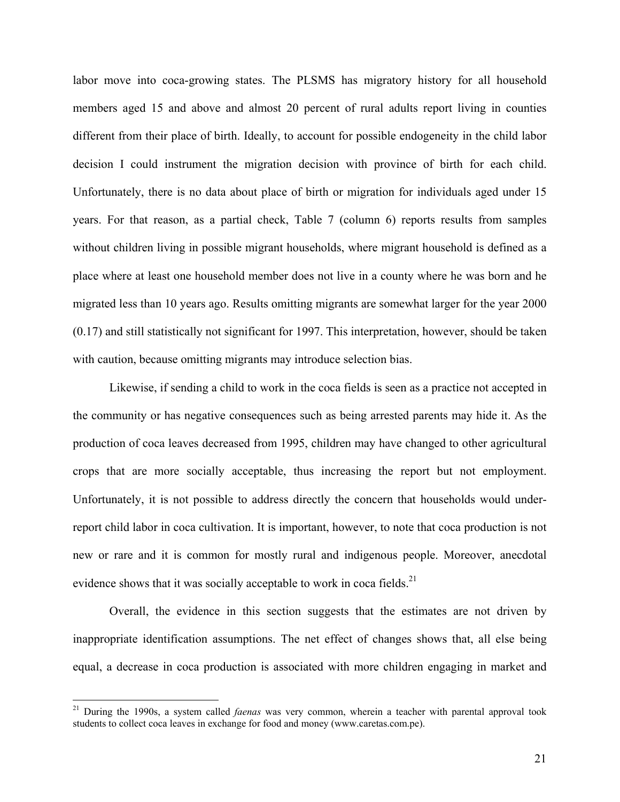labor move into coca-growing states. The PLSMS has migratory history for all household members aged 15 and above and almost 20 percent of rural adults report living in counties different from their place of birth. Ideally, to account for possible endogeneity in the child labor decision I could instrument the migration decision with province of birth for each child. Unfortunately, there is no data about place of birth or migration for individuals aged under 15 years. For that reason, as a partial check, Table 7 (column 6) reports results from samples without children living in possible migrant households, where migrant household is defined as a place where at least one household member does not live in a county where he was born and he migrated less than 10 years ago. Results omitting migrants are somewhat larger for the year 2000 (0.17) and still statistically not significant for 1997. This interpretation, however, should be taken with caution, because omitting migrants may introduce selection bias.

 Likewise, if sending a child to work in the coca fields is seen as a practice not accepted in the community or has negative consequences such as being arrested parents may hide it. As the production of coca leaves decreased from 1995, children may have changed to other agricultural crops that are more socially acceptable, thus increasing the report but not employment. Unfortunately, it is not possible to address directly the concern that households would underreport child labor in coca cultivation. It is important, however, to note that coca production is not new or rare and it is common for mostly rural and indigenous people. Moreover, anecdotal evidence shows that it was socially acceptable to work in coca fields.<sup>21</sup>

Overall, the evidence in this section suggests that the estimates are not driven by inappropriate identification assumptions. The net effect of changes shows that, all else being equal, a decrease in coca production is associated with more children engaging in market and

<sup>21</sup> During the 1990s, a system called *faenas* was very common, wherein a teacher with parental approval took students to collect coca leaves in exchange for food and money (www.caretas.com.pe).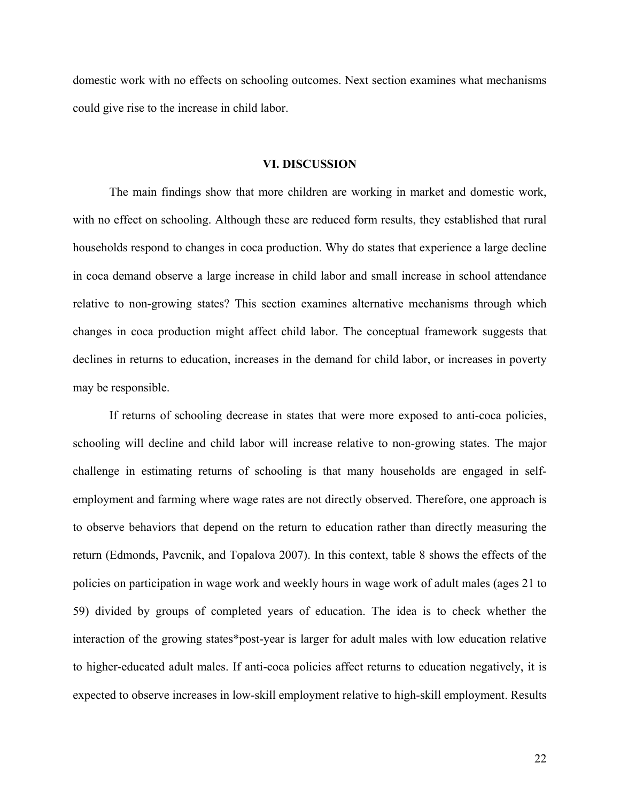domestic work with no effects on schooling outcomes. Next section examines what mechanisms could give rise to the increase in child labor.

#### **VI. DISCUSSION**

The main findings show that more children are working in market and domestic work, with no effect on schooling. Although these are reduced form results, they established that rural households respond to changes in coca production. Why do states that experience a large decline in coca demand observe a large increase in child labor and small increase in school attendance relative to non-growing states? This section examines alternative mechanisms through which changes in coca production might affect child labor. The conceptual framework suggests that declines in returns to education, increases in the demand for child labor, or increases in poverty may be responsible.

If returns of schooling decrease in states that were more exposed to anti-coca policies, schooling will decline and child labor will increase relative to non-growing states. The major challenge in estimating returns of schooling is that many households are engaged in selfemployment and farming where wage rates are not directly observed. Therefore, one approach is to observe behaviors that depend on the return to education rather than directly measuring the return (Edmonds, Pavcnik, and Topalova 2007). In this context, table 8 shows the effects of the policies on participation in wage work and weekly hours in wage work of adult males (ages 21 to 59) divided by groups of completed years of education. The idea is to check whether the interaction of the growing states\*post-year is larger for adult males with low education relative to higher-educated adult males. If anti-coca policies affect returns to education negatively, it is expected to observe increases in low-skill employment relative to high-skill employment. Results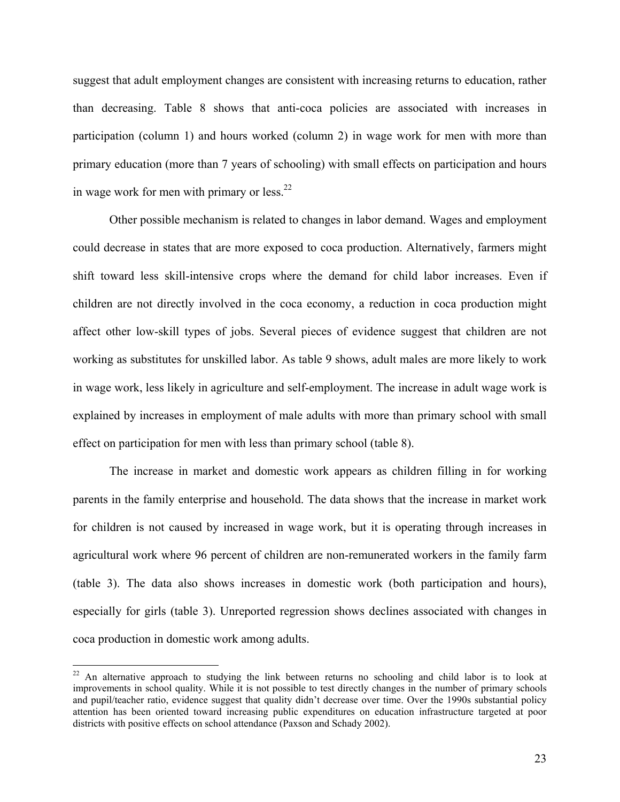suggest that adult employment changes are consistent with increasing returns to education, rather than decreasing. Table 8 shows that anti-coca policies are associated with increases in participation (column 1) and hours worked (column 2) in wage work for men with more than primary education (more than 7 years of schooling) with small effects on participation and hours in wage work for men with primary or  $less^{22}$ .

Other possible mechanism is related to changes in labor demand. Wages and employment could decrease in states that are more exposed to coca production. Alternatively, farmers might shift toward less skill-intensive crops where the demand for child labor increases. Even if children are not directly involved in the coca economy, a reduction in coca production might affect other low-skill types of jobs. Several pieces of evidence suggest that children are not working as substitutes for unskilled labor. As table 9 shows, adult males are more likely to work in wage work, less likely in agriculture and self-employment. The increase in adult wage work is explained by increases in employment of male adults with more than primary school with small effect on participation for men with less than primary school (table 8).

The increase in market and domestic work appears as children filling in for working parents in the family enterprise and household. The data shows that the increase in market work for children is not caused by increased in wage work, but it is operating through increases in agricultural work where 96 percent of children are non-remunerated workers in the family farm (table 3). The data also shows increases in domestic work (both participation and hours), especially for girls (table 3). Unreported regression shows declines associated with changes in coca production in domestic work among adults.

 $22$  An alternative approach to studying the link between returns no schooling and child labor is to look at improvements in school quality. While it is not possible to test directly changes in the number of primary schools and pupil/teacher ratio, evidence suggest that quality didn't decrease over time. Over the 1990s substantial policy attention has been oriented toward increasing public expenditures on education infrastructure targeted at poor districts with positive effects on school attendance (Paxson and Schady 2002).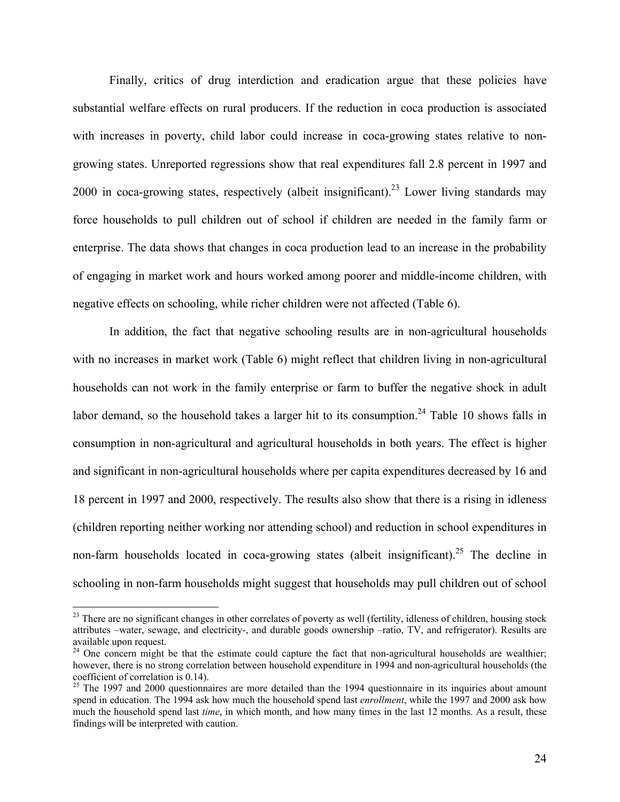Finally, critics of drug interdiction and eradication argue that these policies have substantial welfare effects on rural producers. If the reduction in coca production is associated with increases in poverty, child labor could increase in coca-growing states relative to nongrowing states. Unreported regressions show that real expenditures fall 2.8 percent in 1997 and 2000 in coca-growing states, respectively (albeit insignificant).<sup>23</sup> Lower living standards may force households to pull children out of school if children are needed in the family farm or enterprise. The data shows that changes in coca production lead to an increase in the probability of engaging in market work and hours worked among poorer and middle-income children, with negative effects on schooling, while richer children were not affected (Table 6).

In addition, the fact that negative schooling results are in non-agricultural households with no increases in market work (Table 6) might reflect that children living in non-agricultural households can not work in the family enterprise or farm to buffer the negative shock in adult labor demand, so the household takes a larger hit to its consumption.<sup>24</sup> Table 10 shows falls in consumption in non-agricultural and agricultural households in both years. The effect is higher and significant in non-agricultural households where per capita expenditures decreased by 16 and 18 percent in 1997 and 2000, respectively. The results also show that there is a rising in idleness (children reporting neither working nor attending school) and reduction in school expenditures in non-farm households located in coca-growing states (albeit insignificant).<sup>25</sup> The decline in schooling in non-farm households might suggest that households may pull children out of school

 $23$  There are no significant changes in other correlates of poverty as well (fertility, idleness of children, housing stock attributes –water, sewage, and electricity-, and durable goods ownership –ratio, TV, and refrigerator). Results are available upon request.

 $24$  One concern might be that the estimate could capture the fact that non-agricultural households are wealthier; however, there is no strong correlation between household expenditure in 1994 and non-agricultural households (the coefficient of correlation is 0.14).

 $25$  The 1997 and 2000 questionnaires are more detailed than the 1994 questionnaire in its inquiries about amount spend in education. The 1994 ask how much the household spend last *enrollment*, while the 1997 and 2000 ask how much the household spend last *time*, in which month, and how many times in the last 12 months. As a result, these findings will be interpreted with caution.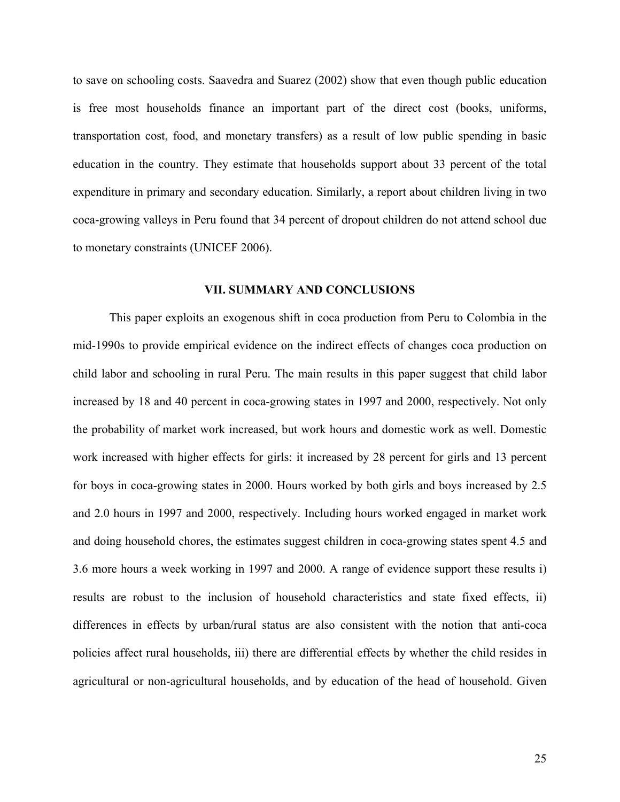to save on schooling costs. Saavedra and Suarez (2002) show that even though public education is free most households finance an important part of the direct cost (books, uniforms, transportation cost, food, and monetary transfers) as a result of low public spending in basic education in the country. They estimate that households support about 33 percent of the total expenditure in primary and secondary education. Similarly, a report about children living in two coca-growing valleys in Peru found that 34 percent of dropout children do not attend school due to monetary constraints (UNICEF 2006).

#### **VII. SUMMARY AND CONCLUSIONS**

This paper exploits an exogenous shift in coca production from Peru to Colombia in the mid-1990s to provide empirical evidence on the indirect effects of changes coca production on child labor and schooling in rural Peru. The main results in this paper suggest that child labor increased by 18 and 40 percent in coca-growing states in 1997 and 2000, respectively. Not only the probability of market work increased, but work hours and domestic work as well. Domestic work increased with higher effects for girls: it increased by 28 percent for girls and 13 percent for boys in coca-growing states in 2000. Hours worked by both girls and boys increased by 2.5 and 2.0 hours in 1997 and 2000, respectively. Including hours worked engaged in market work and doing household chores, the estimates suggest children in coca-growing states spent 4.5 and 3.6 more hours a week working in 1997 and 2000. A range of evidence support these results i) results are robust to the inclusion of household characteristics and state fixed effects, ii) differences in effects by urban/rural status are also consistent with the notion that anti-coca policies affect rural households, iii) there are differential effects by whether the child resides in agricultural or non-agricultural households, and by education of the head of household. Given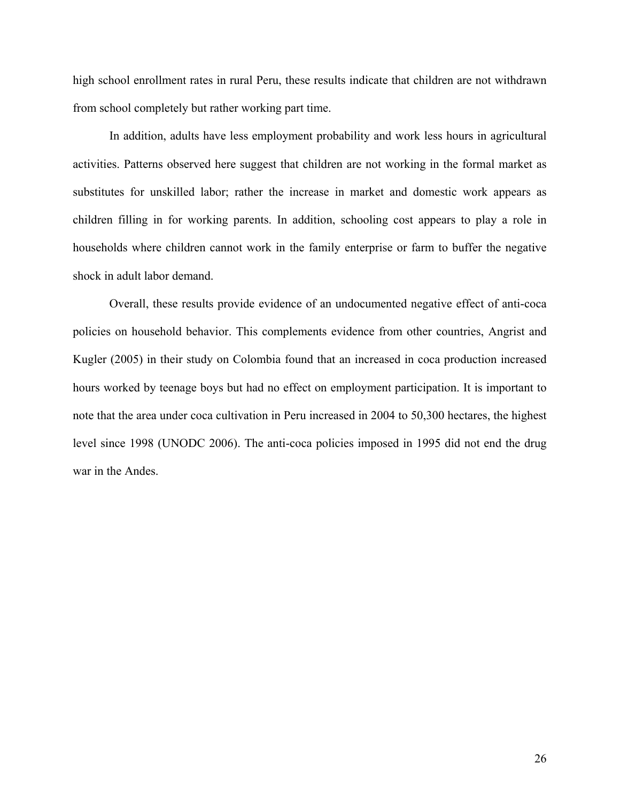high school enrollment rates in rural Peru, these results indicate that children are not withdrawn from school completely but rather working part time.

In addition, adults have less employment probability and work less hours in agricultural activities. Patterns observed here suggest that children are not working in the formal market as substitutes for unskilled labor; rather the increase in market and domestic work appears as children filling in for working parents. In addition, schooling cost appears to play a role in households where children cannot work in the family enterprise or farm to buffer the negative shock in adult labor demand.

Overall, these results provide evidence of an undocumented negative effect of anti-coca policies on household behavior. This complements evidence from other countries, Angrist and Kugler (2005) in their study on Colombia found that an increased in coca production increased hours worked by teenage boys but had no effect on employment participation. It is important to note that the area under coca cultivation in Peru increased in 2004 to 50,300 hectares, the highest level since 1998 (UNODC 2006). The anti-coca policies imposed in 1995 did not end the drug war in the Andes.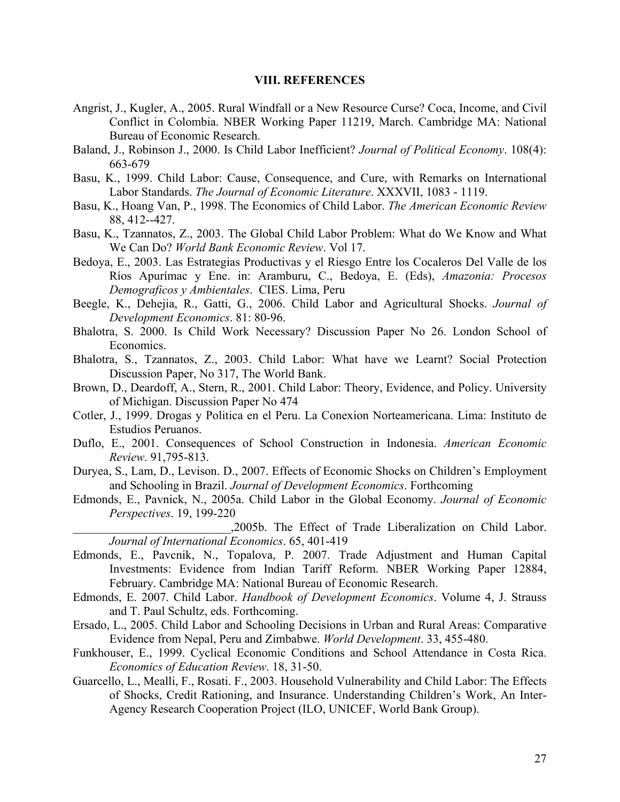#### **VIII. REFERENCES**

- Angrist, J., Kugler, A., 2005. Rural Windfall or a New Resource Curse? Coca, Income, and Civil Conflict in Colombia. NBER Working Paper 11219, March. Cambridge MA: National Bureau of Economic Research.
- Baland, J., Robinson J., 2000. Is Child Labor Inefficient? *Journal of Political Economy*. 108(4): 663-679
- Basu, K., 1999. Child Labor: Cause, Consequence, and Cure, with Remarks on International Labor Standards. *The Journal of Economic Literature*. XXXVII, 1083 - 1119.
- Basu, K., Hoang Van, P., 1998. The Economics of Child Labor. *The American Economic Review* 88, 412--427.
- Basu, K., Tzannatos, Z., 2003. The Global Child Labor Problem: What do We Know and What We Can Do? *World Bank Economic Review*. Vol 17.
- Bedoya, E., 2003. Las Estrategias Productivas y el Riesgo Entre los Cocaleros Del Valle de los Ríos Apurímac y Ene. in: Aramburu, C., Bedoya, E. (Eds), *Amazonia: Procesos Demograficos y Ambientales*. CIES. Lima, Peru
- Beegle, K., Dehejia, R., Gatti, G., 2006. Child Labor and Agricultural Shocks. *Journal of Development Economics*. 81: 80-96.
- Bhalotra, S. 2000. Is Child Work Necessary? Discussion Paper No 26. London School of Economics.
- Bhalotra, S., Tzannatos, Z., 2003. Child Labor: What have we Learnt? Social Protection Discussion Paper, No 317, The World Bank.
- Brown, D., Deardoff, A., Stern, R., 2001. Child Labor: Theory, Evidence, and Policy. University of Michigan. Discussion Paper No 474
- Cotler, J., 1999. Drogas y Politica en el Peru. La Conexion Norteamericana. Lima: Instituto de Estudios Peruanos.
- Duflo, E., 2001. Consequences of School Construction in Indonesia. *American Economic Review*. 91,795-813.
- Duryea, S., Lam, D., Levison. D., 2007. Effects of Economic Shocks on Children's Employment and Schooling in Brazil. *Journal of Development Economics*. Forthcoming
- Edmonds, E., Pavnick, N., 2005a. Child Labor in the Global Economy. *Journal of Economic Perspectives*. 19, 199-220

\_\_\_\_\_\_\_\_\_\_\_\_\_\_\_\_\_\_\_\_\_\_\_\_\_\_,2005b. The Effect of Trade Liberalization on Child Labor. *Journal of International Economics*. 65, 401-419

- Edmonds, E., Pavcnik, N., Topalova, P. 2007. Trade Adjustment and Human Capital Investments: Evidence from Indian Tariff Reform. NBER Working Paper 12884, February. Cambridge MA: National Bureau of Economic Research.
- Edmonds, E. 2007. Child Labor. *Handbook of Development Economics*. Volume 4, J. Strauss and T. Paul Schultz, eds. Forthcoming.
- Ersado, L., 2005. Child Labor and Schooling Decisions in Urban and Rural Areas: Comparative Evidence from Nepal, Peru and Zimbabwe. *World Development*. 33, 455-480.
- Funkhouser, E., 1999. Cyclical Economic Conditions and School Attendance in Costa Rica. *Economics of Education Review*. 18, 31-50.
- Guarcello, L., Mealli, F., Rosati. F., 2003. Household Vulnerability and Child Labor: The Effects of Shocks, Credit Rationing, and Insurance. Understanding Children's Work, An Inter-Agency Research Cooperation Project (ILO, UNICEF, World Bank Group).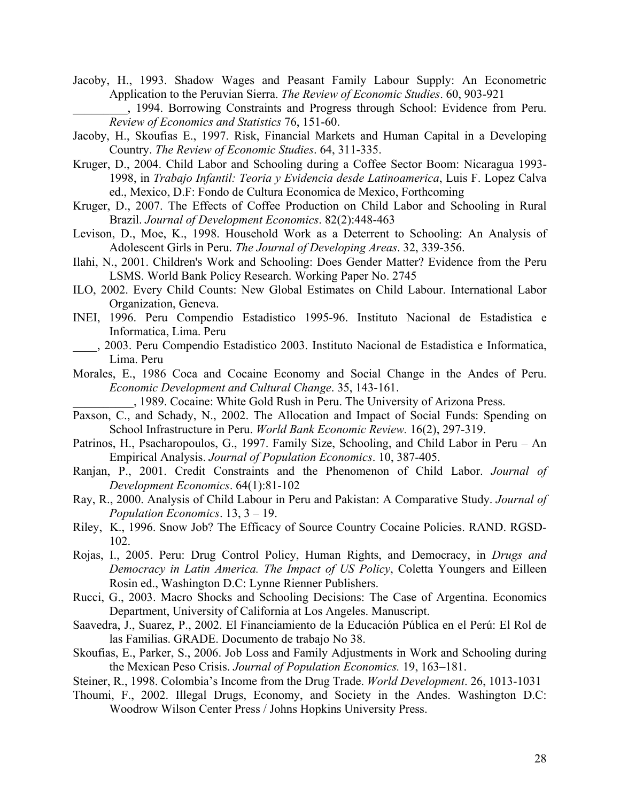Jacoby, H., 1993. Shadow Wages and Peasant Family Labour Supply: An Econometric Application to the Peruvian Sierra. *The Review of Economic Studies*. 60, 903-921

\_\_\_\_\_\_\_\_\_, 1994. Borrowing Constraints and Progress through School: Evidence from Peru. *Review of Economics and Statistics* 76, 151-60.

- Jacoby, H., Skoufias E., 1997. Risk, Financial Markets and Human Capital in a Developing Country. *The Review of Economic Studies*. 64, 311-335.
- Kruger, D., 2004. Child Labor and Schooling during a Coffee Sector Boom: Nicaragua 1993- 1998, in *Trabajo Infantil: Teoria y Evidencia desde Latinoamerica*, Luis F. Lopez Calva ed., Mexico, D.F: Fondo de Cultura Economica de Mexico, Forthcoming
- Kruger, D., 2007. The Effects of Coffee Production on Child Labor and Schooling in Rural Brazil. *Journal of Development Economics*. 82(2):448-463
- Levison, D., Moe, K., 1998. Household Work as a Deterrent to Schooling: An Analysis of Adolescent Girls in Peru. *The Journal of Developing Areas*. 32, 339-356.
- Ilahi, N., 2001. Children's Work and Schooling: Does Gender Matter? Evidence from the Peru LSMS. World Bank Policy Research. Working Paper No. 2745
- ILO, 2002. Every Child Counts: New Global Estimates on Child Labour. International Labor Organization, Geneva.
- INEI, 1996. Peru Compendio Estadistico 1995-96. Instituto Nacional de Estadistica e Informatica, Lima. Peru
- \_\_\_\_, 2003. Peru Compendio Estadistico 2003. Instituto Nacional de Estadistica e Informatica, Lima. Peru
- Morales, E., 1986 Coca and Cocaine Economy and Social Change in the Andes of Peru. *Economic Development and Cultural Change*. 35, 143-161.

\_\_\_\_\_\_\_\_\_\_, 1989. Cocaine: White Gold Rush in Peru. The University of Arizona Press.

- Paxson, C., and Schady, N., 2002. The Allocation and Impact of Social Funds: Spending on School Infrastructure in Peru. *World Bank Economic Review.* 16(2), 297-319.
- Patrinos, H., Psacharopoulos, G., 1997. Family Size, Schooling, and Child Labor in Peru An Empirical Analysis. *Journal of Population Economics*. 10, 387-405.
- Ranjan, P., 2001. Credit Constraints and the Phenomenon of Child Labor. *Journal of Development Economics*. 64(1):81-102
- Ray, R., 2000. Analysis of Child Labour in Peru and Pakistan: A Comparative Study. *Journal of Population Economics*. 13, 3 – 19.
- Riley, K., 1996. Snow Job? The Efficacy of Source Country Cocaine Policies. RAND. RGSD-102.
- Rojas, I., 2005. Peru: Drug Control Policy, Human Rights, and Democracy, in *Drugs and Democracy in Latin America. The Impact of US Policy*, Coletta Youngers and Eilleen Rosin ed., Washington D.C: Lynne Rienner Publishers.
- Rucci, G., 2003. Macro Shocks and Schooling Decisions: The Case of Argentina. Economics Department, University of California at Los Angeles. Manuscript.
- Saavedra, J., Suarez, P., 2002. El Financiamiento de la Educación Pública en el Perú: El Rol de las Familias. GRADE. Documento de trabajo No 38.
- Skoufias, E., Parker, S., 2006. Job Loss and Family Adjustments in Work and Schooling during the Mexican Peso Crisis. *Journal of Population Economics.* 19, 163–181.
- Steiner, R., 1998. Colombia's Income from the Drug Trade. *World Development*. 26, 1013-1031
- Thoumi, F., 2002. Illegal Drugs, Economy, and Society in the Andes. Washington D.C: Woodrow Wilson Center Press / Johns Hopkins University Press.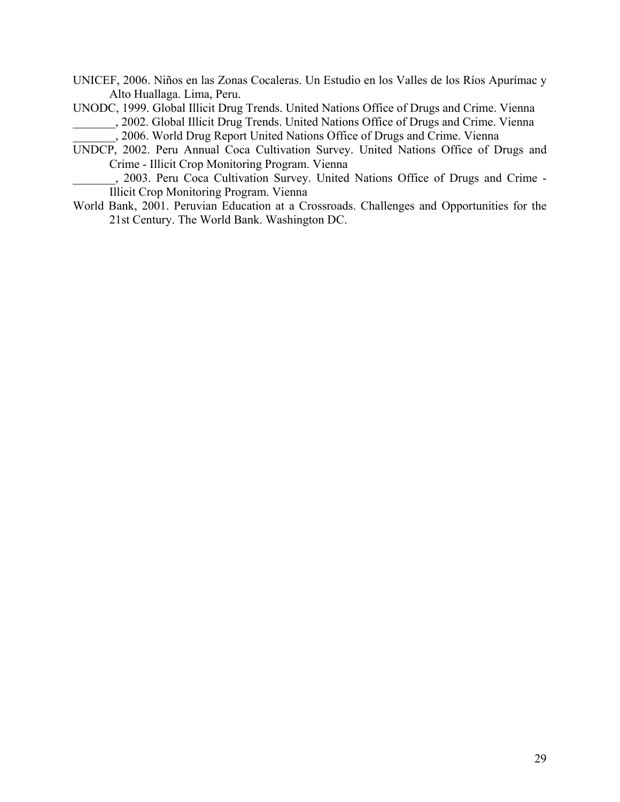- UNICEF, 2006. Niños en las Zonas Cocaleras. Un Estudio en los Valles de los Ríos Apurímac y Alto Huallaga. Lima, Peru.
- UNODC, 1999. Global Illicit Drug Trends. United Nations Office of Drugs and Crime. Vienna \_\_\_\_\_\_\_, 2002. Global Illicit Drug Trends. United Nations Office of Drugs and Crime. Vienna
	- \_\_\_\_\_\_\_, 2006. World Drug Report United Nations Office of Drugs and Crime. Vienna
- UNDCP, 2002. Peru Annual Coca Cultivation Survey. United Nations Office of Drugs and Crime - Illicit Crop Monitoring Program. Vienna

\_\_\_\_\_\_\_, 2003. Peru Coca Cultivation Survey. United Nations Office of Drugs and Crime - Illicit Crop Monitoring Program. Vienna

World Bank, 2001. Peruvian Education at a Crossroads. Challenges and Opportunities for the 21st Century. The World Bank. Washington DC.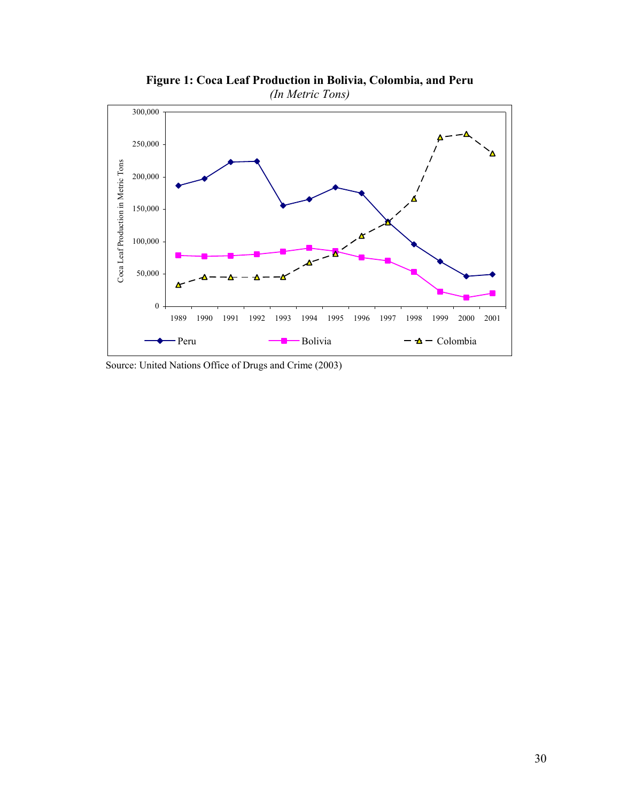

**Figure 1: Coca Leaf Production in Bolivia, Colombia, and Peru**  *(In Metric Tons)* 

Source: United Nations Office of Drugs and Crime (2003)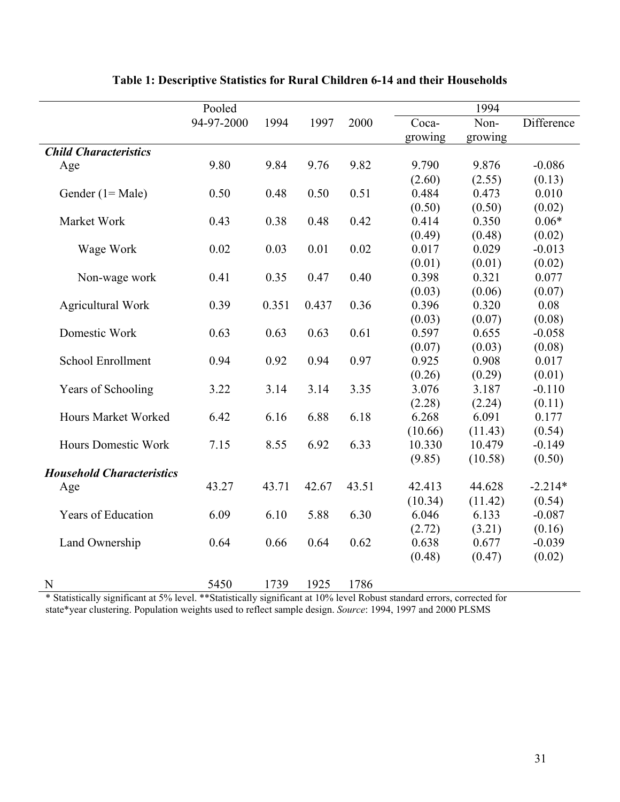| 94-97-2000<br>1994<br>1997<br>2000<br>Coca-<br>Non-                            | Difference |
|--------------------------------------------------------------------------------|------------|
|                                                                                |            |
| growing<br>growing                                                             |            |
| <b>Child Characteristics</b>                                                   |            |
| 9.80<br>9.84<br>9.76<br>9.82<br>9.876<br>9.790<br>Age                          | $-0.086$   |
| (2.60)<br>(2.55)                                                               | (0.13)     |
| 0.51<br>0.50<br>0.50<br>0.484<br>0.473<br>Gender $(1 = Male)$<br>0.48          | 0.010      |
| (0.50)<br>(0.50)                                                               | (0.02)     |
| 0.350<br>0.48<br>0.42<br>0.414<br>Market Work<br>0.43<br>0.38                  | $0.06*$    |
| (0.49)<br>(0.48)                                                               | (0.02)     |
| 0.029<br>0.01<br>0.02<br>0.017<br>Wage Work<br>0.02<br>0.03                    | $-0.013$   |
| (0.01)<br>(0.01)                                                               | (0.02)     |
| 0.40<br>0.398<br>0.321<br>Non-wage work<br>0.41<br>0.35<br>0.47                | 0.077      |
| (0.03)<br>(0.06)                                                               | (0.07)     |
| 0.351<br>0.437<br>0.36<br>0.396<br>0.320<br><b>Agricultural Work</b><br>0.39   | 0.08       |
| (0.03)<br>(0.07)                                                               | (0.08)     |
| 0.63<br>0.63<br>0.63<br>0.61<br>0.597<br>0.655<br>Domestic Work                | $-0.058$   |
| (0.07)<br>(0.03)                                                               | (0.08)     |
| <b>School Enrollment</b><br>0.94<br>0.97<br>0.925<br>0.908<br>0.94<br>0.92     | 0.017      |
| (0.29)<br>(0.26)                                                               | (0.01)     |
| 3.35<br>Years of Schooling<br>3.22<br>3.14<br>3.14<br>3.076<br>3.187           | $-0.110$   |
| (2.28)<br>(2.24)                                                               | (0.11)     |
| 6.18<br><b>Hours Market Worked</b><br>6.42<br>6.16<br>6.88<br>6.268<br>6.091   | 0.177      |
| (10.66)<br>(11.43)                                                             | (0.54)     |
| 6.33<br>7.15<br>8.55<br>6.92<br>10.330<br>10.479<br><b>Hours Domestic Work</b> | $-0.149$   |
| (9.85)<br>(10.58)                                                              | (0.50)     |
| <b>Household Characteristics</b>                                               |            |
| 43.27<br>43.71<br>42.67<br>43.51<br>42.413<br>44.628<br>Age                    | $-2.214*$  |
| (10.34)<br>(11.42)                                                             | (0.54)     |
| Years of Education<br>6.09<br>6.10<br>5.88<br>6.30<br>6.133<br>6.046           | $-0.087$   |
| (2.72)<br>(3.21)                                                               | (0.16)     |
| 0.62<br>0.638<br>0.677<br>Land Ownership<br>0.64<br>0.66<br>0.64               | $-0.039$   |
| (0.48)<br>(0.47)                                                               | (0.02)     |
| 5450<br>1786<br>1739<br>1925<br>N                                              |            |

# **Table 1: Descriptive Statistics for Rural Children 6-14 and their Households**

\* Statistically significant at 5% level. \*\*Statistically significant at 10% level Robust standard errors, corrected for state\*year clustering. Population weights used to reflect sample design. *Source*: 1994, 1997 and 2000 PLSMS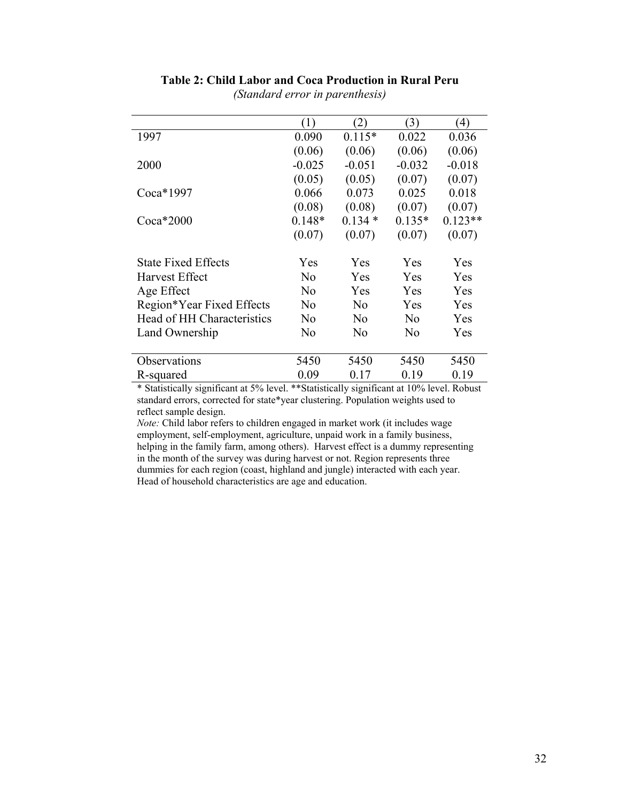|                            | (1)            | (2)            | (3)            | $\left(4\right)$ |
|----------------------------|----------------|----------------|----------------|------------------|
| 1997                       | 0.090          | $0.115*$       | 0.022          | 0.036            |
|                            | (0.06)         | (0.06)         | (0.06)         | (0.06)           |
| 2000                       | $-0.025$       | $-0.051$       | $-0.032$       | $-0.018$         |
|                            | (0.05)         | (0.05)         | (0.07)         | (0.07)           |
| $Coca*1997$                | 0.066          | 0.073          | 0.025          | 0.018            |
|                            | (0.08)         | (0.08)         | (0.07)         | (0.07)           |
| $Coca*2000$                | $0.148*$       | $0.134*$       | $0.135*$       | $0.123**$        |
|                            | (0.07)         | (0.07)         | (0.07)         | (0.07)           |
|                            |                |                |                |                  |
| <b>State Fixed Effects</b> | Yes            | Yes            | <b>Yes</b>     | Yes              |
| Harvest Effect             | No             | Yes            | Yes            | Yes              |
| Age Effect                 | No             | Yes            | <b>Yes</b>     | Yes              |
| Region*Year Fixed Effects  | No             | No             | Yes            | Yes              |
| Head of HH Characteristics | N <sub>0</sub> | No             | $\rm No$       | Yes              |
| Land Ownership             | N <sub>0</sub> | N <sub>0</sub> | N <sub>0</sub> | Yes              |
|                            |                |                |                |                  |
| Observations               | 5450           | 5450           | 5450           | 5450             |
| R-squared                  | 0.09           | 0.17           | 0.19           | 0.19             |
|                            |                |                |                |                  |

# **Table 2: Child Labor and Coca Production in Rural Peru**

*(Standard error in parenthesis)* 

\* Statistically significant at 5% level. \*\*Statistically significant at 10% level. Robust standard errors, corrected for state\*year clustering. Population weights used to reflect sample design.

*Note:* Child labor refers to children engaged in market work (it includes wage employment, self-employment, agriculture, unpaid work in a family business, helping in the family farm, among others). Harvest effect is a dummy representing in the month of the survey was during harvest or not. Region represents three dummies for each region (coast, highland and jungle) interacted with each year. Head of household characteristics are age and education.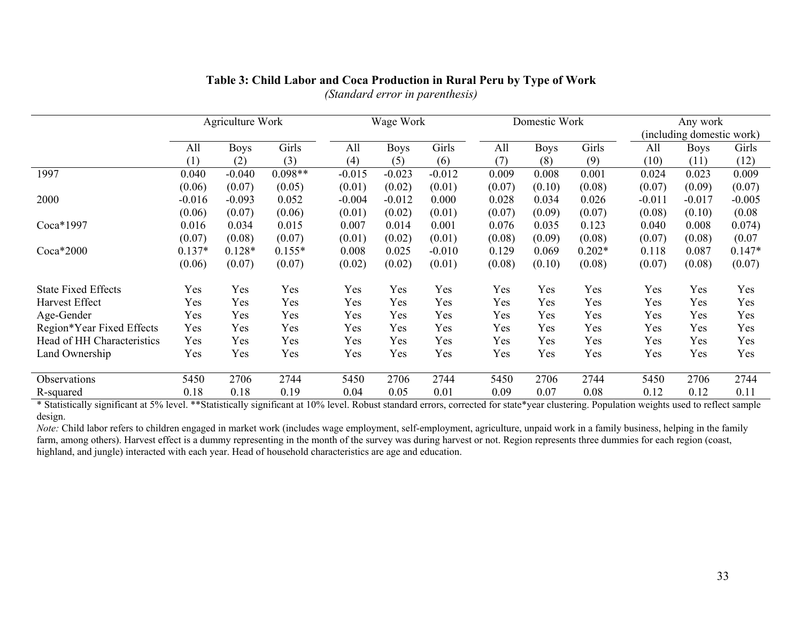|                            |          | Agriculture Work |           | Wage Work |             |          | Domestic Work |             |          | Any work<br>(including domestic work) |             |          |
|----------------------------|----------|------------------|-----------|-----------|-------------|----------|---------------|-------------|----------|---------------------------------------|-------------|----------|
|                            | All      | <b>Boys</b>      | Girls     | All       | <b>Boys</b> | Girls    | All           | <b>Boys</b> | Girls    | All                                   | <b>Boys</b> | Girls    |
|                            | (1)      | (2)              | (3)       | (4)       | (5)         | (6)      | (7)           | (8)         | (9)      | (10)                                  | (11)        | (12)     |
| 1997                       | 0.040    | $-0.040$         | $0.098**$ | $-0.015$  | $-0.023$    | $-0.012$ | 0.009         | 0.008       | 0.001    | 0.024                                 | 0.023       | 0.009    |
|                            | (0.06)   | (0.07)           | (0.05)    | (0.01)    | (0.02)      | (0.01)   | (0.07)        | (0.10)      | (0.08)   | (0.07)                                | (0.09)      | (0.07)   |
| 2000                       | $-0.016$ | $-0.093$         | 0.052     | $-0.004$  | $-0.012$    | 0.000    | 0.028         | 0.034       | 0.026    | $-0.011$                              | $-0.017$    | $-0.005$ |
|                            | (0.06)   | (0.07)           | (0.06)    | (0.01)    | (0.02)      | (0.01)   | (0.07)        | (0.09)      | (0.07)   | (0.08)                                | (0.10)      | (0.08)   |
| Coca*1997                  | 0.016    | 0.034            | 0.015     | 0.007     | 0.014       | 0.001    | 0.076         | 0.035       | 0.123    | 0.040                                 | 0.008       | 0.074)   |
|                            | (0.07)   | (0.08)           | (0.07)    | (0.01)    | (0.02)      | (0.01)   | (0.08)        | (0.09)      | (0.08)   | (0.07)                                | (0.08)      | (0.07)   |
| $Coca*2000$                | $0.137*$ | $0.128*$         | $0.155*$  | 0.008     | 0.025       | $-0.010$ | 0.129         | 0.069       | $0.202*$ | 0.118                                 | 0.087       | $0.147*$ |
|                            | (0.06)   | (0.07)           | (0.07)    | (0.02)    | (0.02)      | (0.01)   | (0.08)        | (0.10)      | (0.08)   | (0.07)                                | (0.08)      | (0.07)   |
| <b>State Fixed Effects</b> | Yes      | Yes              | Yes       | Yes       | Yes         | Yes      | Yes           | Yes         | Yes      | Yes                                   | Yes         | Yes      |
| Harvest Effect             | Yes      | Yes              | Yes       | Yes       | Yes         | Yes      | Yes           | Yes         | Yes      | Yes                                   | Yes         | Yes      |
| Age-Gender                 | Yes      | Yes              | Yes       | Yes       | Yes         | Yes      | Yes           | Yes         | Yes      | Yes                                   | Yes         | Yes      |
| Region*Year Fixed Effects  | Yes      | Yes              | Yes       | Yes       | Yes         | Yes      | Yes           | Yes         | Yes      | Yes                                   | Yes         | Yes      |
| Head of HH Characteristics | Yes      | Yes              | Yes       | Yes       | Yes         | Yes      | Yes           | Yes         | Yes      | Yes                                   | Yes         | Yes      |
| Land Ownership             | Yes      | Yes              | Yes       | Yes       | Yes         | Yes      | Yes           | Yes         | Yes      | Yes                                   | Yes         | Yes      |
|                            |          |                  |           |           |             |          |               |             |          |                                       |             |          |
| Observations               | 5450     | 2706             | 2744      | 5450      | 2706        | 2744     | 5450          | 2706        | 2744     | 5450                                  | 2706        | 2744     |
| R-squared                  | 0.18     | 0.18             | 0.19      | 0.04      | 0.05        | 0.01     | 0.09          | 0.07        | 0.08     | 0.12                                  | 0.12        | 0.11     |

### **Table 3: Child Labor and Coca Production in Rural Peru by Type of Work**  *(Standard error in parenthesis)*

\* Statistically significant at 5% level. \*\*Statistically significant at 10% level. Robust standard errors, corrected for state\*year clustering. Population weights used to reflect sample design.

*Note:* Child labor refers to children engaged in market work (includes wage employment, self-employment, agriculture, unpaid work in a family business, helping in the family farm, among others). Harvest effect is a dummy representing in the month of the survey was during harvest or not. Region represents three dummies for each region (coast, highland, and jungle) interacted with each year. Head of household characteristics are age and education.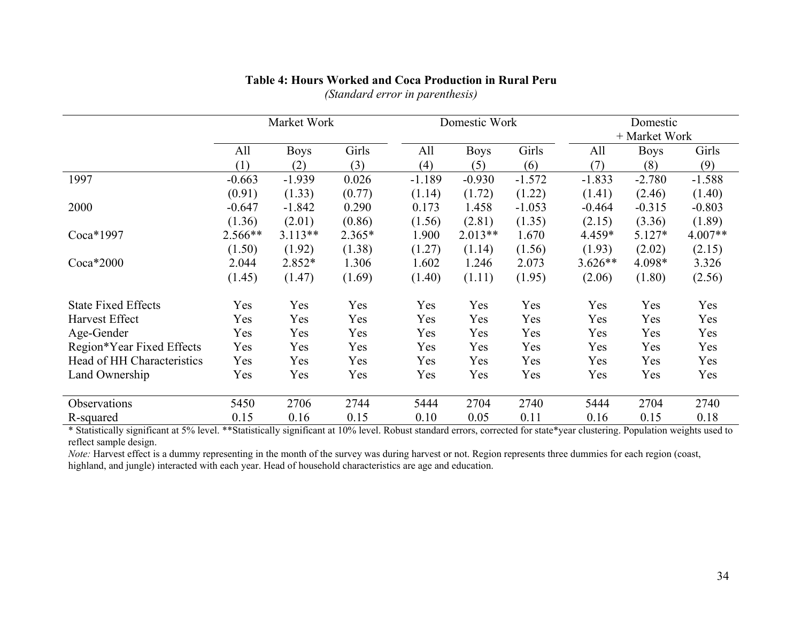|                            | Market Work |             |          | Domestic Work |             |          | Domestic<br>+ Market Work |             |          |
|----------------------------|-------------|-------------|----------|---------------|-------------|----------|---------------------------|-------------|----------|
|                            | All         | <b>Boys</b> | Girls    | All           | <b>Boys</b> | Girls    | All                       | <b>Boys</b> | Girls    |
|                            | (1)         | (2)         | (3)      | (4)           | (5)         | (6)      | (7)                       | (8)         | (9)      |
| 1997                       | $-0.663$    | $-1.939$    | 0.026    | $-1.189$      | $-0.930$    | $-1.572$ | $-1.833$                  | $-2.780$    | $-1.588$ |
|                            | (0.91)      | (1.33)      | (0.77)   | (1.14)        | (1.72)      | (1.22)   | (1.41)                    | (2.46)      | (1.40)   |
| 2000                       | $-0.647$    | $-1.842$    | 0.290    | 0.173         | 1.458       | $-1.053$ | $-0.464$                  | $-0.315$    | $-0.803$ |
|                            | (1.36)      | (2.01)      | (0.86)   | (1.56)        | (2.81)      | (1.35)   | (2.15)                    | (3.36)      | (1.89)   |
| Coca*1997                  | 2.566**     | $3.113**$   | $2.365*$ | 1.900         | $2.013**$   | 1.670    | 4.459*                    | $5.127*$    | 4.007**  |
|                            | (1.50)      | (1.92)      | (1.38)   | (1.27)        | (1.14)      | (1.56)   | (1.93)                    | (2.02)      | (2.15)   |
| $Coca*2000$                | 2.044       | 2.852*      | 1.306    | 1.602         | 1.246       | 2.073    | $3.626**$                 | 4.098*      | 3.326    |
|                            | (1.45)      | (1.47)      | (1.69)   | (1.40)        | (1.11)      | (1.95)   | (2.06)                    | (1.80)      | (2.56)   |
| <b>State Fixed Effects</b> | Yes         | Yes         | Yes      | Yes           | Yes         | Yes      | Yes                       | Yes         | Yes      |
| Harvest Effect             | Yes         | Yes         | Yes      | Yes           | Yes         | Yes      | Yes                       | Yes         | Yes      |
| Age-Gender                 | Yes         | Yes         | Yes      | Yes           | Yes         | Yes      | Yes                       | Yes         | Yes      |
| Region*Year Fixed Effects  | Yes         | Yes         | Yes      | Yes           | Yes         | Yes      | Yes                       | Yes         | Yes      |
| Head of HH Characteristics | Yes         | Yes         | Yes      | Yes           | Yes         | Yes      | Yes                       | Yes         | Yes      |
| Land Ownership             | Yes         | Yes         | Yes      | Yes           | Yes         | Yes      | Yes                       | Yes         | Yes      |
| Observations               | 5450        | 2706        | 2744     | 5444          | 2704        | 2740     | 5444                      | 2704        | 2740     |
| R-squared                  | 0.15        | 0.16        | 0.15     | 0.10          | 0.05        | 0.11     | 0.16                      | 0.15        | 0.18     |

### **Table 4: Hours Worked and Coca Production in Rural Peru**

*(Standard error in parenthesis)* 

\* Statistically significant at 5% level. \*\*Statistically significant at 10% level. Robust standard errors, corrected for state\*year clustering. Population weights used to reflect sample design.

*Note:* Harvest effect is a dummy representing in the month of the survey was during harvest or not. Region represents three dummies for each region (coast, highland, and jungle) interacted with each year. Head of household characteristics are age and education.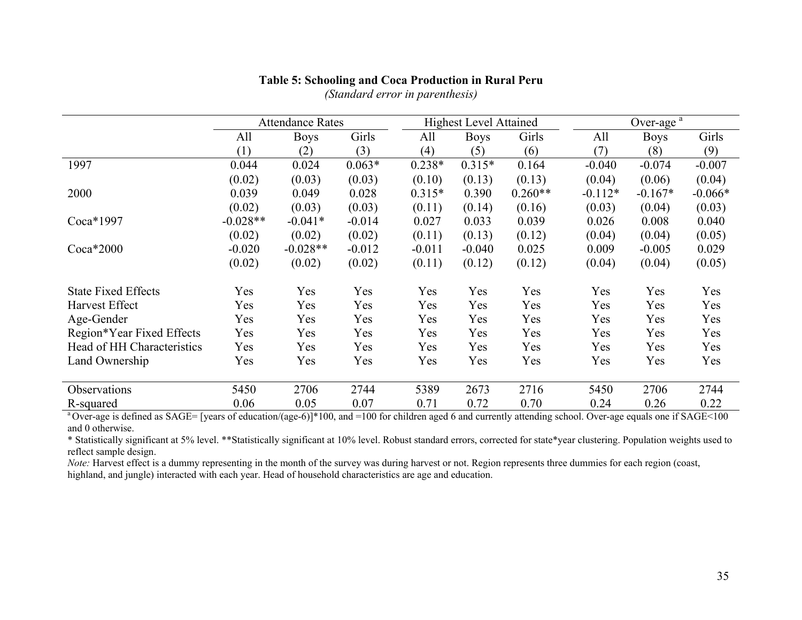|                            | <b>Attendance Rates</b> |             |          | <b>Highest Level Attained</b> |             |           | Over-age $a$ |             |           |
|----------------------------|-------------------------|-------------|----------|-------------------------------|-------------|-----------|--------------|-------------|-----------|
|                            | All                     | <b>Boys</b> | Girls    | All                           | <b>Boys</b> | Girls     | All          | <b>Boys</b> | Girls     |
|                            | (1)                     | (2)         | (3)      | (4)                           | (5)         | (6)       | (7)          | (8)         | (9)       |
| 1997                       | 0.044                   | 0.024       | $0.063*$ | $0.238*$                      | $0.315*$    | 0.164     | $-0.040$     | $-0.074$    | $-0.007$  |
|                            | (0.02)                  | (0.03)      | (0.03)   | (0.10)                        | (0.13)      | (0.13)    | (0.04)       | (0.06)      | (0.04)    |
| 2000                       | 0.039                   | 0.049       | 0.028    | $0.315*$                      | 0.390       | $0.260**$ | $-0.112*$    | $-0.167*$   | $-0.066*$ |
|                            | (0.02)                  | (0.03)      | (0.03)   | (0.11)                        | (0.14)      | (0.16)    | (0.03)       | (0.04)      | (0.03)    |
| Coca*1997                  | $-0.028**$              | $-0.041*$   | $-0.014$ | 0.027                         | 0.033       | 0.039     | 0.026        | 0.008       | 0.040     |
|                            | (0.02)                  | (0.02)      | (0.02)   | (0.11)                        | (0.13)      | (0.12)    | (0.04)       | (0.04)      | (0.05)    |
| $Coca*2000$                | $-0.020$                | $-0.028**$  | $-0.012$ | $-0.011$                      | $-0.040$    | 0.025     | 0.009        | $-0.005$    | 0.029     |
|                            | (0.02)                  | (0.02)      | (0.02)   | (0.11)                        | (0.12)      | (0.12)    | (0.04)       | (0.04)      | (0.05)    |
| <b>State Fixed Effects</b> | Yes                     | Yes         | Yes      | Yes                           | Yes         | Yes       | Yes          | Yes         | Yes       |
| <b>Harvest Effect</b>      | Yes                     | Yes         | Yes      | Yes                           | Yes         | Yes       | Yes          | Yes         | Yes       |
| Age-Gender                 | Yes                     | Yes         | Yes      | Yes                           | Yes         | Yes       | Yes          | Yes         | Yes       |
| Region*Year Fixed Effects  | Yes                     | Yes         | Yes      | Yes                           | Yes         | Yes       | Yes          | Yes         | Yes       |
| Head of HH Characteristics | Yes                     | Yes         | Yes      | Yes                           | Yes         | Yes       | Yes          | Yes         | Yes       |
| Land Ownership             | Yes                     | Yes         | Yes      | Yes                           | Yes         | Yes       | Yes          | Yes         | Yes       |
|                            |                         |             |          |                               |             |           |              |             |           |
| Observations               | 5450                    | 2706        | 2744     | 5389                          | 2673        | 2716      | 5450         | 2706        | 2744      |
| R-squared                  | 0.06                    | 0.05        | 0.07     | 0.71                          | 0.72        | 0.70      | 0.24         | 0.26        | 0.22      |

## **Table 5: Schooling and Coca Production in Rural Peru**

*(Standard error in parenthesis)* 

<sup>a</sup> Over-age is defined as SAGE= [years of education/(age-6)]\*100, and =100 for children aged 6 and currently attending school. Over-age equals one if SAGE<100 and 0 otherwise.

\* Statistically significant at 5% level. \*\*Statistically significant at 10% level. Robust standard errors, corrected for state\*year clustering. Population weights used to reflect sample design.

*Note:* Harvest effect is a dummy representing in the month of the survey was during harvest or not. Region represents three dummies for each region (coast, highland, and jungle) interacted with each year. Head of household characteristics are age and education.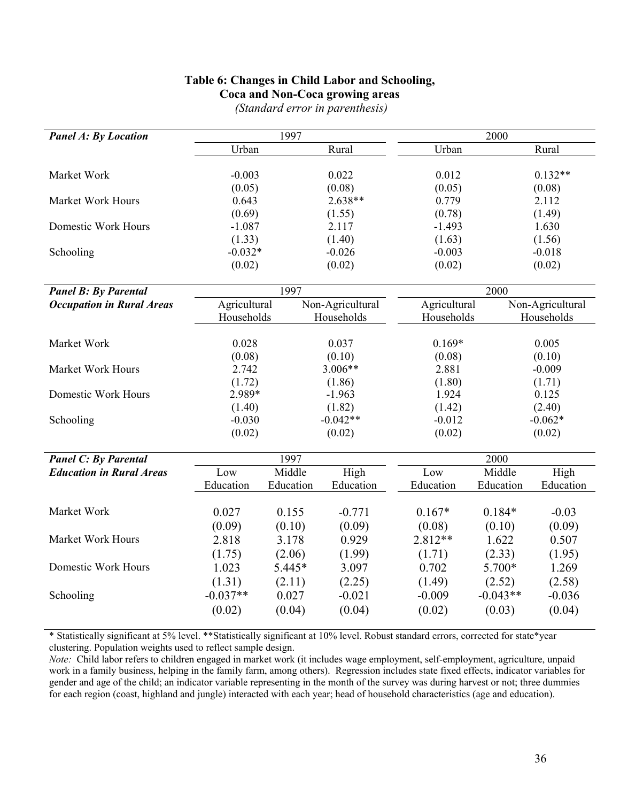# **Table 6: Changes in Child Labor and Schooling,**

|  |  | Coca and Non-Coca growing areas |  |
|--|--|---------------------------------|--|
|  |  |                                 |  |

| <b>Panel A: By Location</b>      | 1997         |           |                  | 2000         |            |                  |  |
|----------------------------------|--------------|-----------|------------------|--------------|------------|------------------|--|
|                                  | Urban        |           | Rural            | Urban        |            | Rural            |  |
|                                  |              |           |                  |              |            |                  |  |
| Market Work                      | $-0.003$     |           | 0.022            | 0.012        |            | $0.132**$        |  |
|                                  | (0.05)       |           | (0.08)           | (0.05)       |            | (0.08)           |  |
| Market Work Hours                | 0.643        |           | 2.638**          | 0.779        |            | 2.112            |  |
|                                  | (0.69)       |           | (1.55)           | (0.78)       |            | (1.49)           |  |
| <b>Domestic Work Hours</b>       | $-1.087$     |           | 2.117            | $-1.493$     |            | 1.630            |  |
|                                  | (1.33)       |           | (1.40)           | (1.63)       |            | (1.56)           |  |
| Schooling                        | $-0.032*$    |           | $-0.026$         | $-0.003$     |            | $-0.018$         |  |
|                                  | (0.02)       |           | (0.02)           | (0.02)       |            | (0.02)           |  |
| <b>Panel B: By Parental</b>      |              | 1997      |                  |              | 2000       |                  |  |
| <b>Occupation in Rural Areas</b> | Agricultural |           | Non-Agricultural | Agricultural |            | Non-Agricultural |  |
|                                  | Households   |           | Households       | Households   |            | Households       |  |
|                                  |              |           |                  |              |            |                  |  |
| Market Work                      | 0.028        |           | 0.037            | $0.169*$     |            | 0.005            |  |
|                                  | (0.08)       |           | (0.10)           | (0.08)       |            | (0.10)           |  |
| Market Work Hours                | 2.742        | $3.006**$ |                  | 2.881        |            | $-0.009$         |  |
|                                  | (1.72)       | (1.86)    |                  | (1.80)       |            | (1.71)           |  |
| <b>Domestic Work Hours</b>       | 2.989*       | $-1.963$  |                  | 1.924        |            | 0.125            |  |
|                                  | (1.40)       | (1.82)    |                  | (1.42)       |            | (2.40)           |  |
| Schooling                        | $-0.030$     |           | $-0.042**$       | $-0.012$     |            | $-0.062*$        |  |
|                                  | (0.02)       |           | (0.02)           | (0.02)       |            | (0.02)           |  |
| <b>Panel C: By Parental</b>      |              | 1997      |                  |              | 2000       |                  |  |
| <b>Education in Rural Areas</b>  | Low          | Middle    | High             | Low          | Middle     | High             |  |
|                                  | Education    | Education | Education        | Education    | Education  | Education        |  |
|                                  |              |           |                  |              |            |                  |  |
| Market Work                      | 0.027        | 0.155     | $-0.771$         | $0.167*$     | $0.184*$   | $-0.03$          |  |
|                                  | (0.09)       | (0.10)    | (0.09)           | (0.08)       | (0.10)     | (0.09)           |  |
| Market Work Hours                | 2.818        | 3.178     | 0.929            | 2.812**      | 1.622      | 0.507            |  |
|                                  | (1.75)       | (2.06)    | (1.99)           | (1.71)       | (2.33)     | (1.95)           |  |
| Domestic Work Hours              | 1.023        | 5.445*    | 3.097            | 0.702        | 5.700*     | 1.269            |  |
|                                  | (1.31)       | (2.11)    | (2.25)           | (1.49)       | (2.52)     | (2.58)           |  |
| Schooling                        | $-0.037**$   | 0.027     | $-0.021$         | $-0.009$     | $-0.043**$ | $-0.036$         |  |
|                                  | (0.02)       | (0.04)    | (0.04)           | (0.02)       | (0.03)     | (0.04)           |  |

 *(Standard error in parenthesis)* 

\* Statistically significant at 5% level. \*\*Statistically significant at 10% level. Robust standard errors, corrected for state\*year clustering. Population weights used to reflect sample design.

*Note:* Child labor refers to children engaged in market work (it includes wage employment, self-employment, agriculture, unpaid work in a family business, helping in the family farm, among others). Regression includes state fixed effects, indicator variables for gender and age of the child; an indicator variable representing in the month of the survey was during harvest or not; three dummies for each region (coast, highland and jungle) interacted with each year; head of household characteristics (age and education).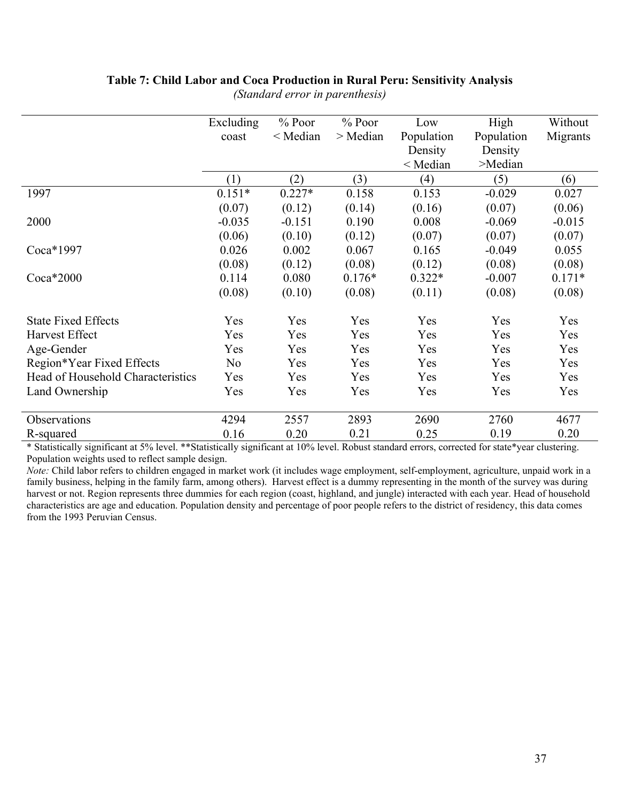# **Table 7: Child Labor and Coca Production in Rural Peru: Sensitivity Analysis**

|                                   | Excluding      | $%$ Poor   | $%$ Poor   | Low        | High       | Without  |
|-----------------------------------|----------------|------------|------------|------------|------------|----------|
|                                   | coast          | $<$ Median | $>$ Median | Population | Population | Migrants |
|                                   |                |            |            | Density    | Density    |          |
|                                   |                |            |            | $<$ Median | >Median    |          |
|                                   | (1)            | (2)        | (3)        | (4)        | (5)        | (6)      |
| 1997                              | $0.151*$       | $0.227*$   | 0.158      | 0.153      | $-0.029$   | 0.027    |
|                                   | (0.07)         | (0.12)     | (0.14)     | (0.16)     | (0.07)     | (0.06)   |
| 2000                              | $-0.035$       | $-0.151$   | 0.190      | 0.008      | $-0.069$   | $-0.015$ |
|                                   | (0.06)         | (0.10)     | (0.12)     | (0.07)     | (0.07)     | (0.07)   |
| Coca*1997                         | 0.026          | 0.002      | 0.067      | 0.165      | $-0.049$   | 0.055    |
|                                   | (0.08)         | (0.12)     | (0.08)     | (0.12)     | (0.08)     | (0.08)   |
| $Coca*2000$                       | 0.114          | 0.080      | $0.176*$   | $0.322*$   | $-0.007$   | $0.171*$ |
|                                   | (0.08)         | (0.10)     | (0.08)     | (0.11)     | (0.08)     | (0.08)   |
| <b>State Fixed Effects</b>        | Yes            | Yes        | Yes        | Yes        | Yes        | Yes      |
| <b>Harvest Effect</b>             | Yes            | Yes        | Yes        | Yes        | Yes        | Yes      |
| Age-Gender                        | Yes            | Yes        | Yes        | Yes        | Yes        | Yes      |
| Region*Year Fixed Effects         | N <sub>0</sub> | Yes        | Yes        | Yes        | Yes        | Yes      |
| Head of Household Characteristics | Yes            | Yes        | Yes        | Yes        | Yes        | Yes      |
| Land Ownership                    | Yes            | Yes        | Yes        | Yes        | Yes        | Yes      |
| Observations                      | 4294           | 2557       | 2893       | 2690       | 2760       | 4677     |
| R-squared                         | 0.16           | 0.20       | 0.21       | 0.25       | 0.19       | 0.20     |

*(Standard error in parenthesis)* 

\* Statistically significant at 5% level. \*\*Statistically significant at 10% level. Robust standard errors, corrected for state\*year clustering. Population weights used to reflect sample design.

*Note:* Child labor refers to children engaged in market work (it includes wage employment, self-employment, agriculture, unpaid work in a family business, helping in the family farm, among others). Harvest effect is a dummy representing in the month of the survey was during harvest or not. Region represents three dummies for each region (coast, highland, and jungle) interacted with each year. Head of household characteristics are age and education. Population density and percentage of poor people refers to the district of residency, this data comes from the 1993 Peruvian Census.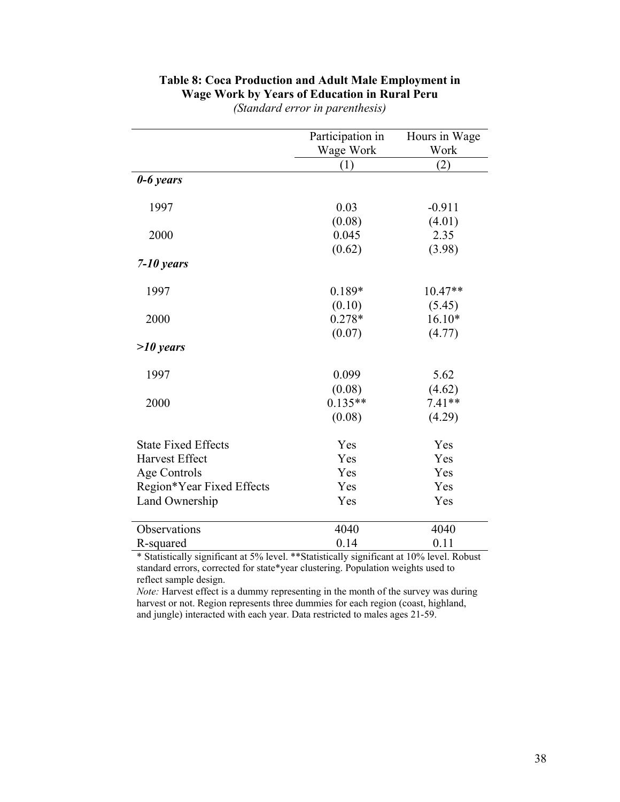|                            | Participation in<br>Wage Work | Hours in Wage<br>Work |
|----------------------------|-------------------------------|-----------------------|
|                            | (1)                           | (2)                   |
| $0 - 6$ years              |                               |                       |
| 1997                       | 0.03                          | $-0.911$              |
|                            | (0.08)                        | (4.01)                |
| 2000                       | 0.045                         | 2.35                  |
|                            | (0.62)                        | (3.98)                |
| $7 - 10$ years             |                               |                       |
| 1997                       | $0.189*$                      | 10.47**               |
|                            | (0.10)                        | (5.45)                |
| 2000                       | $0.278*$                      | $16.10*$              |
|                            | (0.07)                        | (4.77)                |
| $>10$ years                |                               |                       |
| 1997                       | 0.099                         | 5.62                  |
|                            | (0.08)                        | (4.62)                |
| 2000                       | $0.135**$                     | $7.41**$              |
|                            | (0.08)                        | (4.29)                |
| <b>State Fixed Effects</b> | Yes                           | Yes                   |
| <b>Harvest Effect</b>      | Yes                           | Yes                   |
| Age Controls               | Yes                           | Yes                   |
| Region*Year Fixed Effects  | Yes                           | Yes                   |
| Land Ownership             | Yes                           | Yes                   |
| Observations               | 4040                          | 4040                  |
| R-squared                  | 0.14                          | 0.11                  |

# **Table 8: Coca Production and Adult Male Employment in Wage Work by Years of Education in Rural Peru**

*(Standard error in parenthesis)* 

\* Statistically significant at 5% level. \*\*Statistically significant at 10% level. Robust standard errors, corrected for state\*year clustering. Population weights used to reflect sample design.

*Note:* Harvest effect is a dummy representing in the month of the survey was during harvest or not. Region represents three dummies for each region (coast, highland, and jungle) interacted with each year. Data restricted to males ages 21-59.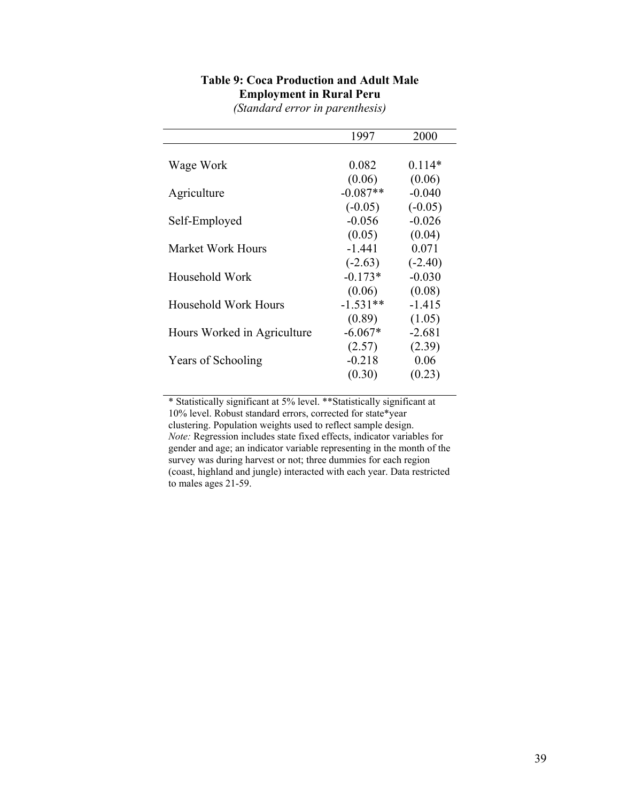|                             | 1997       | 2000      |
|-----------------------------|------------|-----------|
|                             |            |           |
| Wage Work                   | 0.082      | $0.114*$  |
|                             | (0.06)     | (0.06)    |
| Agriculture                 | $-0.087**$ | $-0.040$  |
|                             | $(-0.05)$  | $(-0.05)$ |
| Self-Employed               | $-0.056$   | $-0.026$  |
|                             | (0.05)     | (0.04)    |
| Market Work Hours           | $-1.441$   | 0.071     |
|                             | $(-2.63)$  | $(-2.40)$ |
| Household Work              | $-0.173*$  | $-0.030$  |
|                             | (0.06)     | (0.08)    |
| <b>Household Work Hours</b> | $-1.531**$ | $-1.415$  |
|                             | (0.89)     | (1.05)    |
| Hours Worked in Agriculture | $-6.067*$  | $-2.681$  |
|                             | (2.57)     | (2.39)    |
| Years of Schooling          | $-0.218$   | 0.06      |
|                             | (0.30)     | (0.23)    |

# **Table 9: Coca Production and Adult Male Employment in Rural Peru**

*(Standard error in parenthesis)* 

\* Statistically significant at 5% level. \*\*Statistically significant at 10% level. Robust standard errors, corrected for state\*year clustering. Population weights used to reflect sample design. *Note:* Regression includes state fixed effects, indicator variables for gender and age; an indicator variable representing in the month of the survey was during harvest or not; three dummies for each region (coast, highland and jungle) interacted with each year. Data restricted to males ages 21-59.